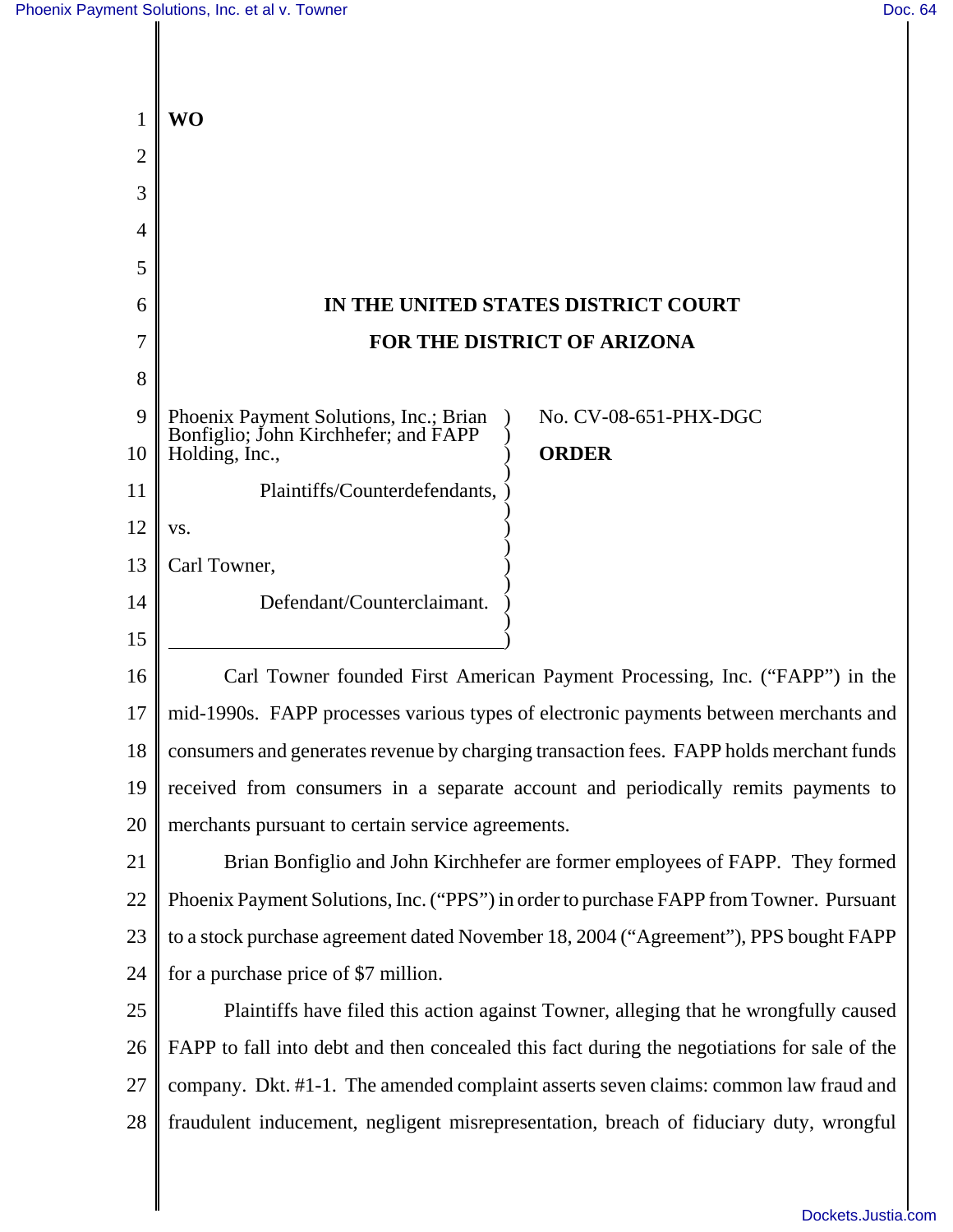|                | <b>WO</b>                                                                                               |
|----------------|---------------------------------------------------------------------------------------------------------|
| $\overline{2}$ |                                                                                                         |
| 3              |                                                                                                         |
| 4              |                                                                                                         |
| 5              |                                                                                                         |
| 6              | IN THE UNITED STATES DISTRICT COURT                                                                     |
| 7              | FOR THE DISTRICT OF ARIZONA                                                                             |
| 8              |                                                                                                         |
| 9              | No. CV-08-651-PHX-DGC<br>Phoenix Payment Solutions, Inc.; Brian<br>Bonfiglio; John Kirchhefer; and FAPP |
| 10             | <b>ORDER</b><br>Holding, Inc.,                                                                          |
| 11             | Plaintiffs/Counterdefendants,                                                                           |
| 12             | VS.                                                                                                     |
| 13             | Carl Towner,                                                                                            |
| 14             | Defendant/Counterclaimant.                                                                              |
| 15             |                                                                                                         |
| 16             | Carl Towner founded First American Payment Processing, Inc. ("FAPP") in the                             |
| 17             | mid-1990s. FAPP processes various types of electronic payments between merchants and                    |
| 18             | consumers and generates revenue by charging transaction fees. FAPP holds merchant funds                 |
| 19             | received from consumers in a separate account and periodically remits payments to                       |
| 20             | merchants pursuant to certain service agreements.                                                       |
| 21             | Brian Bonfiglio and John Kirchhefer are former employees of FAPP. They formed                           |
| 22             | Phoenix Payment Solutions, Inc. ("PPS") in order to purchase FAPP from Towner. Pursuant                 |
| 23             | to a stock purchase agreement dated November 18, 2004 ("Agreement"), PPS bought FAPP                    |
| 24             | for a purchase price of \$7 million.                                                                    |
| 25             | Plaintiffs have filed this action against Towner, alleging that he wrongfully caused                    |
| 26             | FAPP to fall into debt and then concealed this fact during the negotiations for sale of the             |
| 27             | company. Dkt. #1-1. The amended complaint asserts seven claims: common law fraud and                    |
| 28             | fraudulent inducement, negligent misrepresentation, breach of fiduciary duty, wrongful                  |
|                |                                                                                                         |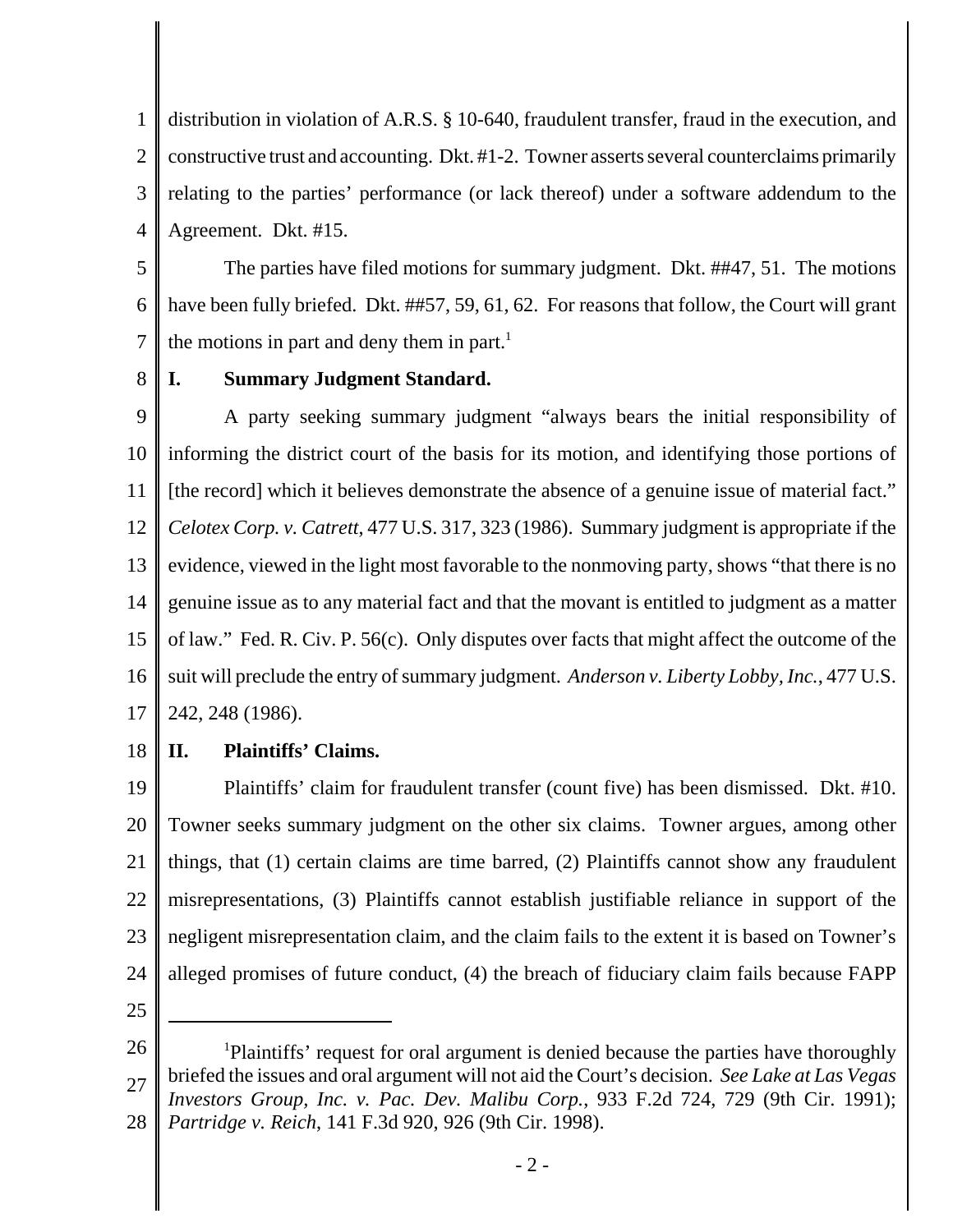1 2 3 4 distribution in violation of A.R.S. § 10-640, fraudulent transfer, fraud in the execution, and constructive trust and accounting. Dkt. #1-2. Towner asserts several counterclaims primarily relating to the parties' performance (or lack thereof) under a software addendum to the Agreement. Dkt. #15.

5 6 7 The parties have filed motions for summary judgment. Dkt. ##47, 51. The motions have been fully briefed. Dkt. ##57, 59, 61, 62. For reasons that follow, the Court will grant the motions in part and deny them in part.<sup>1</sup>

8

# **I. Summary Judgment Standard.**

9 10 11 12 13 14 15 16 17 A party seeking summary judgment "always bears the initial responsibility of informing the district court of the basis for its motion, and identifying those portions of [the record] which it believes demonstrate the absence of a genuine issue of material fact." *Celotex Corp. v. Catrett*, 477 U.S. 317, 323 (1986). Summary judgment is appropriate if the evidence, viewed in the light most favorable to the nonmoving party, shows "that there is no genuine issue as to any material fact and that the movant is entitled to judgment as a matter of law." Fed. R. Civ. P. 56(c). Only disputes over facts that might affect the outcome of the suit will preclude the entry of summary judgment. *Anderson v. Liberty Lobby, Inc.*, 477 U.S. 242, 248 (1986).

18 **II. Plaintiffs' Claims.**

19 20 21 22 23 24 Plaintiffs' claim for fraudulent transfer (count five) has been dismissed. Dkt. #10. Towner seeks summary judgment on the other six claims. Towner argues, among other things, that (1) certain claims are time barred, (2) Plaintiffs cannot show any fraudulent misrepresentations, (3) Plaintiffs cannot establish justifiable reliance in support of the negligent misrepresentation claim, and the claim fails to the extent it is based on Towner's alleged promises of future conduct, (4) the breach of fiduciary claim fails because FAPP

<sup>26</sup> 27 28 <sup>1</sup>Plaintiffs' request for oral argument is denied because the parties have thoroughly briefed the issues and oral argument will not aid the Court's decision. *See Lake at Las Vegas Investors Group, Inc. v. Pac. Dev. Malibu Corp.*, 933 F.2d 724, 729 (9th Cir. 1991); *Partridge v. Reich*, 141 F.3d 920, 926 (9th Cir. 1998).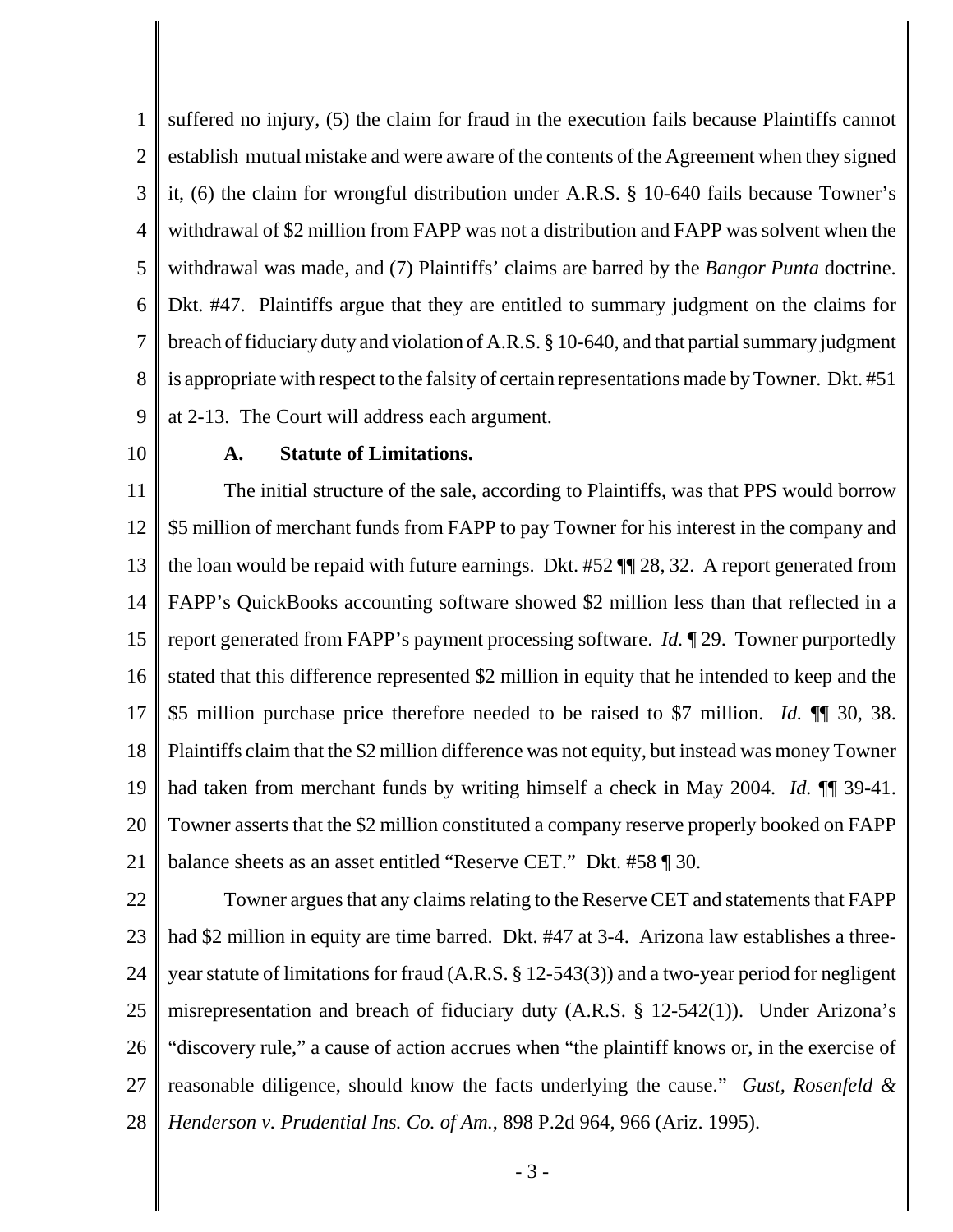1 2 3 4 5 6 7 8 9 suffered no injury, (5) the claim for fraud in the execution fails because Plaintiffs cannot establish mutual mistake and were aware of the contents of the Agreement when they signed it, (6) the claim for wrongful distribution under A.R.S. § 10-640 fails because Towner's withdrawal of \$2 million from FAPP was not a distribution and FAPP was solvent when the withdrawal was made, and (7) Plaintiffs' claims are barred by the *Bangor Punta* doctrine. Dkt. #47. Plaintiffs argue that they are entitled to summary judgment on the claims for breach of fiduciary duty and violation of A.R.S. § 10-640, and that partial summary judgment is appropriate with respect to the falsity of certain representations made by Towner. Dkt. #51 at 2-13. The Court will address each argument.

10

#### **A. Statute of Limitations.**

11 12 13 14 15 16 17 18 19 20 21 The initial structure of the sale, according to Plaintiffs, was that PPS would borrow \$5 million of merchant funds from FAPP to pay Towner for his interest in the company and the loan would be repaid with future earnings. Dkt. #52 ¶¶ 28, 32. A report generated from FAPP's QuickBooks accounting software showed \$2 million less than that reflected in a report generated from FAPP's payment processing software. *Id.* ¶ 29. Towner purportedly stated that this difference represented \$2 million in equity that he intended to keep and the \$5 million purchase price therefore needed to be raised to \$7 million. *Id.* ¶¶ 30, 38. Plaintiffs claim that the \$2 million difference was not equity, but instead was money Towner had taken from merchant funds by writing himself a check in May 2004. *Id.* ¶¶ 39-41. Towner asserts that the \$2 million constituted a company reserve properly booked on FAPP balance sheets as an asset entitled "Reserve CET." Dkt. #58 ¶ 30.

22 23 24 25 26 27 28 Towner argues that any claims relating to the Reserve CET and statements that FAPP had \$2 million in equity are time barred. Dkt. #47 at 3-4. Arizona law establishes a threeyear statute of limitations for fraud (A.R.S. § 12-543(3)) and a two-year period for negligent misrepresentation and breach of fiduciary duty (A.R.S. § 12-542(1)). Under Arizona's "discovery rule," a cause of action accrues when "the plaintiff knows or, in the exercise of reasonable diligence, should know the facts underlying the cause." *Gust, Rosenfeld & Henderson v. Prudential Ins. Co. of Am.*, 898 P.2d 964, 966 (Ariz. 1995).

- 3 -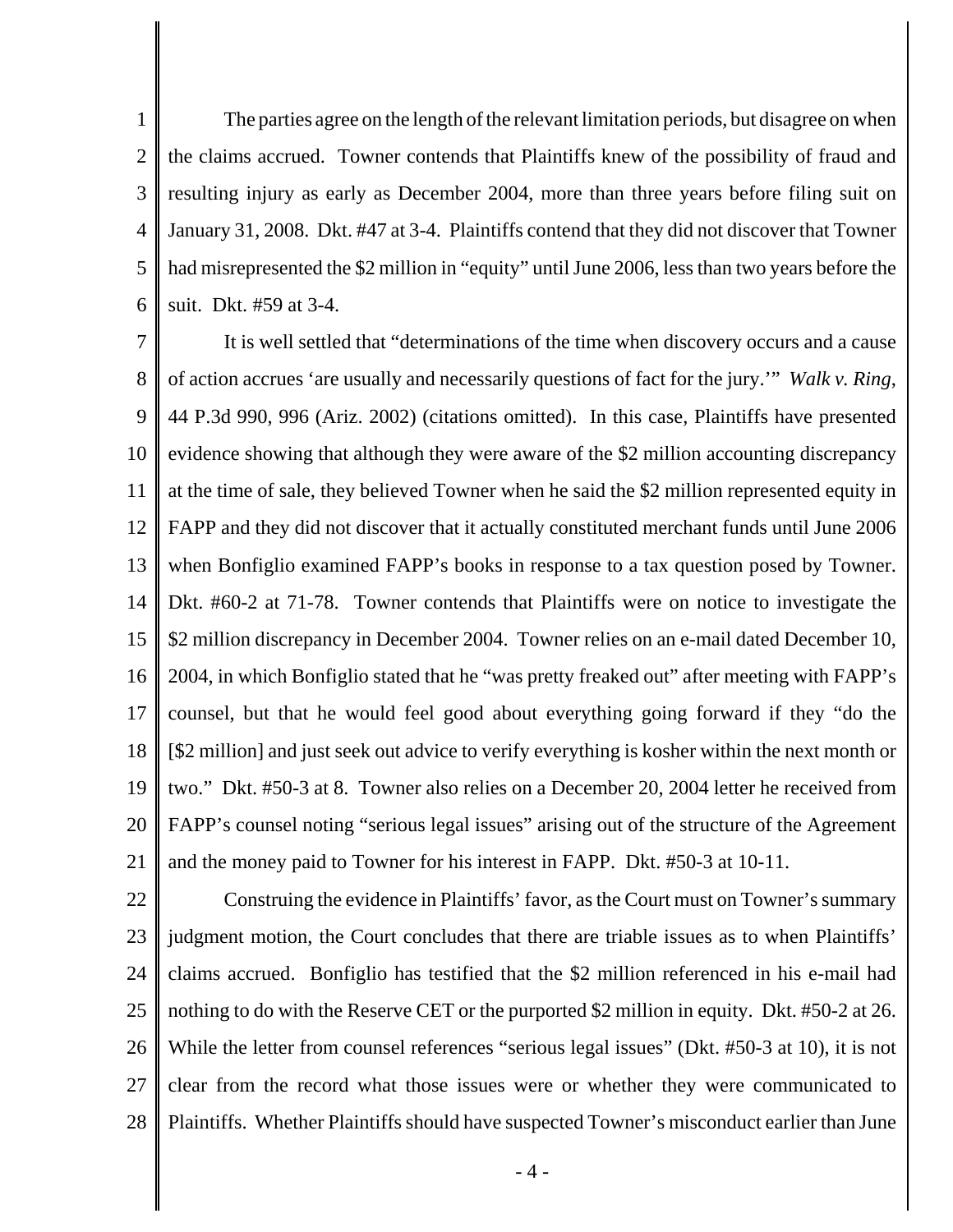1 2 3 4 5 6 The parties agree on the length of the relevant limitation periods, but disagree on when the claims accrued. Towner contends that Plaintiffs knew of the possibility of fraud and resulting injury as early as December 2004, more than three years before filing suit on January 31, 2008. Dkt. #47 at 3-4. Plaintiffs contend that they did not discover that Towner had misrepresented the \$2 million in "equity" until June 2006, less than two years before the suit. Dkt. #59 at 3-4.

7 8 9 10 11 12 13 14 15 16 17 18 19 20 21 It is well settled that "determinations of the time when discovery occurs and a cause of action accrues 'are usually and necessarily questions of fact for the jury.'" *Walk v. Ring*, 44 P.3d 990, 996 (Ariz. 2002) (citations omitted). In this case, Plaintiffs have presented evidence showing that although they were aware of the \$2 million accounting discrepancy at the time of sale, they believed Towner when he said the \$2 million represented equity in FAPP and they did not discover that it actually constituted merchant funds until June 2006 when Bonfiglio examined FAPP's books in response to a tax question posed by Towner. Dkt. #60-2 at 71-78. Towner contends that Plaintiffs were on notice to investigate the \$2 million discrepancy in December 2004. Towner relies on an e-mail dated December 10, 2004, in which Bonfiglio stated that he "was pretty freaked out" after meeting with FAPP's counsel, but that he would feel good about everything going forward if they "do the [\$2 million] and just seek out advice to verify everything is kosher within the next month or two." Dkt. #50-3 at 8. Towner also relies on a December 20, 2004 letter he received from FAPP's counsel noting "serious legal issues" arising out of the structure of the Agreement and the money paid to Towner for his interest in FAPP. Dkt. #50-3 at 10-11.

22 23 24 25 26 27 28 Construing the evidence in Plaintiffs' favor, as the Court must on Towner's summary judgment motion, the Court concludes that there are triable issues as to when Plaintiffs' claims accrued. Bonfiglio has testified that the \$2 million referenced in his e-mail had nothing to do with the Reserve CET or the purported \$2 million in equity. Dkt. #50-2 at 26. While the letter from counsel references "serious legal issues" (Dkt. #50-3 at 10), it is not clear from the record what those issues were or whether they were communicated to Plaintiffs. Whether Plaintiffs should have suspected Towner's misconduct earlier than June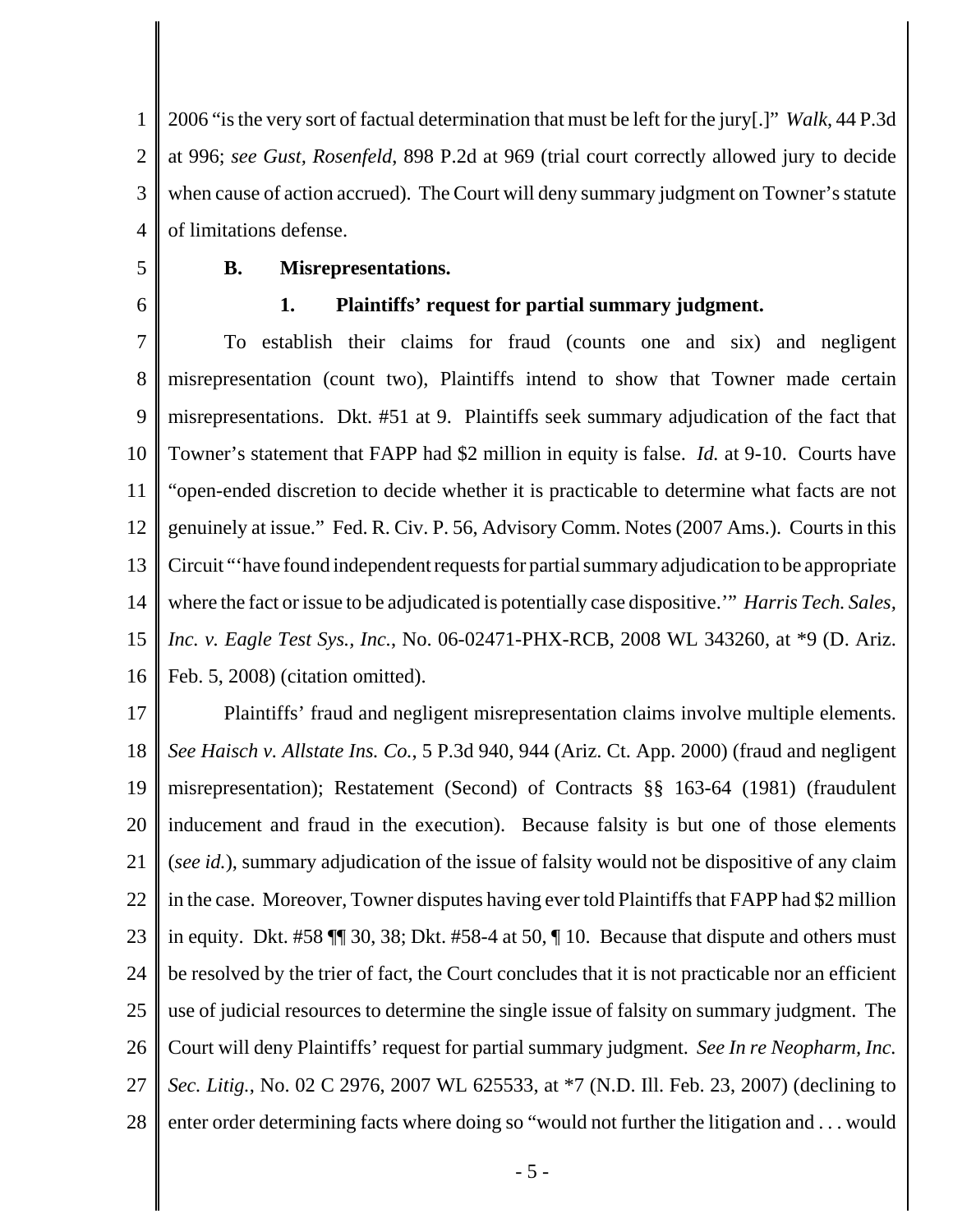1 2 3 4 2006 "is the very sort of factual determination that must be left for the jury[.]" *Walk*, 44 P.3d at 996; *see Gust, Rosenfeld*, 898 P.2d at 969 (trial court correctly allowed jury to decide when cause of action accrued). The Court will deny summary judgment on Towner's statute of limitations defense.

#### 5

6

# **B. Misrepresentations.**

#### **1. Plaintiffs' request for partial summary judgment.**

7 8 9 10 11 12 13 14 15 16 To establish their claims for fraud (counts one and six) and negligent misrepresentation (count two), Plaintiffs intend to show that Towner made certain misrepresentations. Dkt. #51 at 9. Plaintiffs seek summary adjudication of the fact that Towner's statement that FAPP had \$2 million in equity is false. *Id.* at 9-10. Courts have "open-ended discretion to decide whether it is practicable to determine what facts are not genuinely at issue." Fed. R. Civ. P. 56, Advisory Comm. Notes (2007 Ams.). Courts in this Circuit "'have found independent requests for partial summary adjudication to be appropriate where the fact or issue to be adjudicated is potentially case dispositive.'" *Harris Tech. Sales, Inc. v. Eagle Test Sys., Inc.*, No. 06-02471-PHX-RCB, 2008 WL 343260, at \*9 (D. Ariz. Feb. 5, 2008) (citation omitted).

17 18 19 20 21 22 23 24 25 26 27 28 Plaintiffs' fraud and negligent misrepresentation claims involve multiple elements. *See Haisch v. Allstate Ins. Co.*, 5 P.3d 940, 944 (Ariz. Ct. App. 2000) (fraud and negligent misrepresentation); Restatement (Second) of Contracts §§ 163-64 (1981) (fraudulent inducement and fraud in the execution). Because falsity is but one of those elements (*see id.*), summary adjudication of the issue of falsity would not be dispositive of any claim in the case. Moreover, Towner disputes having ever told Plaintiffs that FAPP had \$2 million in equity. Dkt. #58 ¶¶ 30, 38; Dkt. #58-4 at 50, ¶ 10. Because that dispute and others must be resolved by the trier of fact, the Court concludes that it is not practicable nor an efficient use of judicial resources to determine the single issue of falsity on summary judgment. The Court will deny Plaintiffs' request for partial summary judgment. *See In re Neopharm, Inc. Sec. Litig.*, No. 02 C 2976, 2007 WL 625533, at \*7 (N.D. Ill. Feb. 23, 2007) (declining to enter order determining facts where doing so "would not further the litigation and . . . would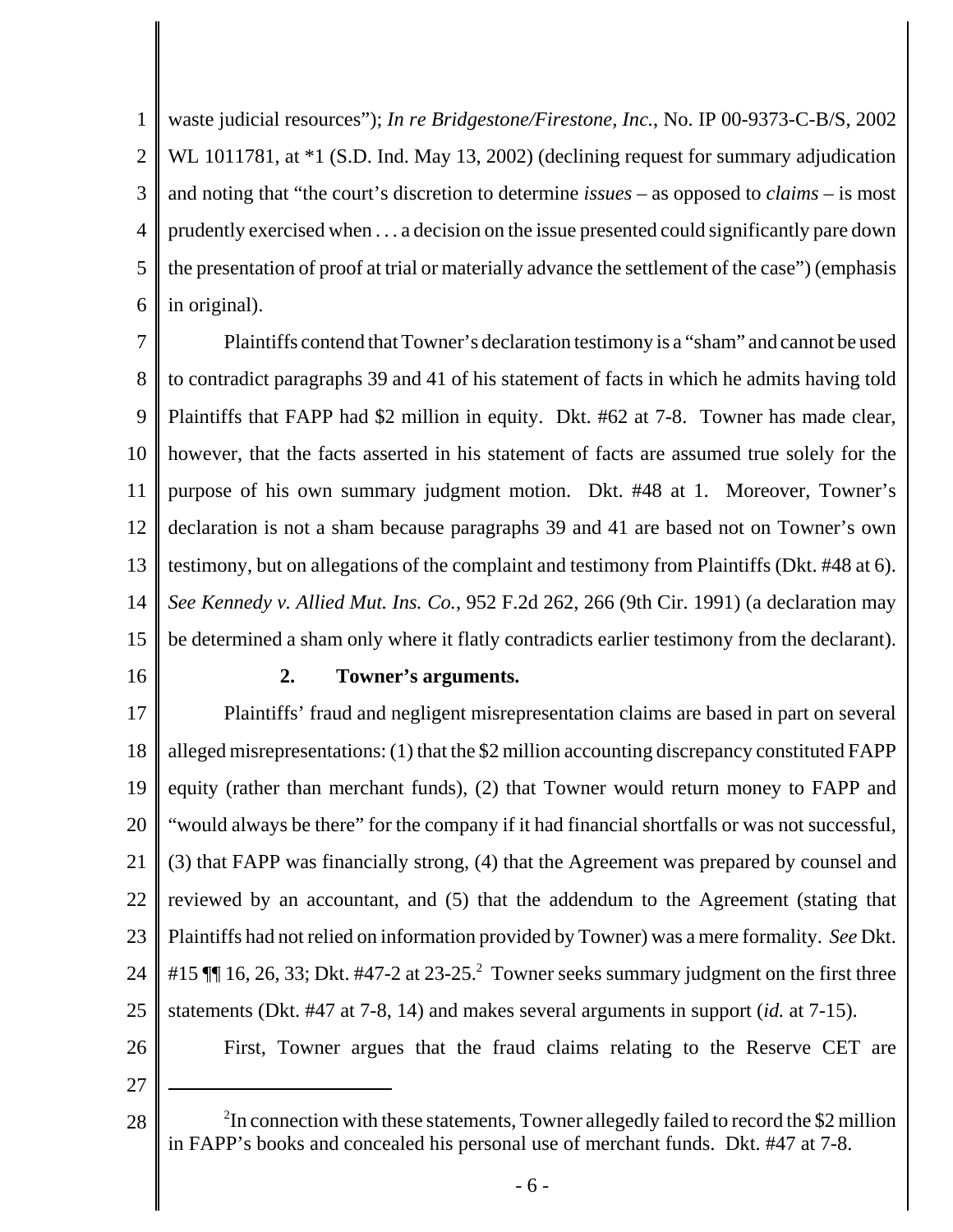1 2 3 4 5 6 waste judicial resources"); *In re Bridgestone/Firestone, Inc.*, No. IP 00-9373-C-B/S, 2002 WL 1011781, at  $*1$  (S.D. Ind. May 13, 2002) (declining request for summary adjudication and noting that "the court's discretion to determine *issues* – as opposed to *claims* – is most prudently exercised when . . . a decision on the issue presented could significantly pare down the presentation of proof at trial or materially advance the settlement of the case") (emphasis in original).

7 8 9 10 11 12 13 14 15 Plaintiffs contend that Towner's declaration testimony is a "sham" and cannot be used to contradict paragraphs 39 and 41 of his statement of facts in which he admits having told Plaintiffs that FAPP had \$2 million in equity. Dkt. #62 at 7-8. Towner has made clear, however, that the facts asserted in his statement of facts are assumed true solely for the purpose of his own summary judgment motion. Dkt. #48 at 1. Moreover, Towner's declaration is not a sham because paragraphs 39 and 41 are based not on Towner's own testimony, but on allegations of the complaint and testimony from Plaintiffs (Dkt. #48 at 6). *See Kennedy v. Allied Mut. Ins. Co.*, 952 F.2d 262, 266 (9th Cir. 1991) (a declaration may be determined a sham only where it flatly contradicts earlier testimony from the declarant).

16

#### **2. Towner's arguments.**

17 18 19 20 21 22 23 24 25 Plaintiffs' fraud and negligent misrepresentation claims are based in part on several alleged misrepresentations: (1) that the \$2 million accounting discrepancy constituted FAPP equity (rather than merchant funds), (2) that Towner would return money to FAPP and "would always be there" for the company if it had financial shortfalls or was not successful, (3) that FAPP was financially strong, (4) that the Agreement was prepared by counsel and reviewed by an accountant, and (5) that the addendum to the Agreement (stating that Plaintiffs had not relied on information provided by Towner) was a mere formality. *See* Dkt. #15  $\P$  16, 26, 33; Dkt. #47-2 at 23-25.<sup>2</sup> Towner seeks summary judgment on the first three statements (Dkt. #47 at 7-8, 14) and makes several arguments in support (*id.* at 7-15).

26

First, Towner argues that the fraud claims relating to the Reserve CET are

<sup>28</sup> <sup>2</sup>  $2$ In connection with these statements, Towner allegedly failed to record the \$2 million in FAPP's books and concealed his personal use of merchant funds. Dkt. #47 at 7-8.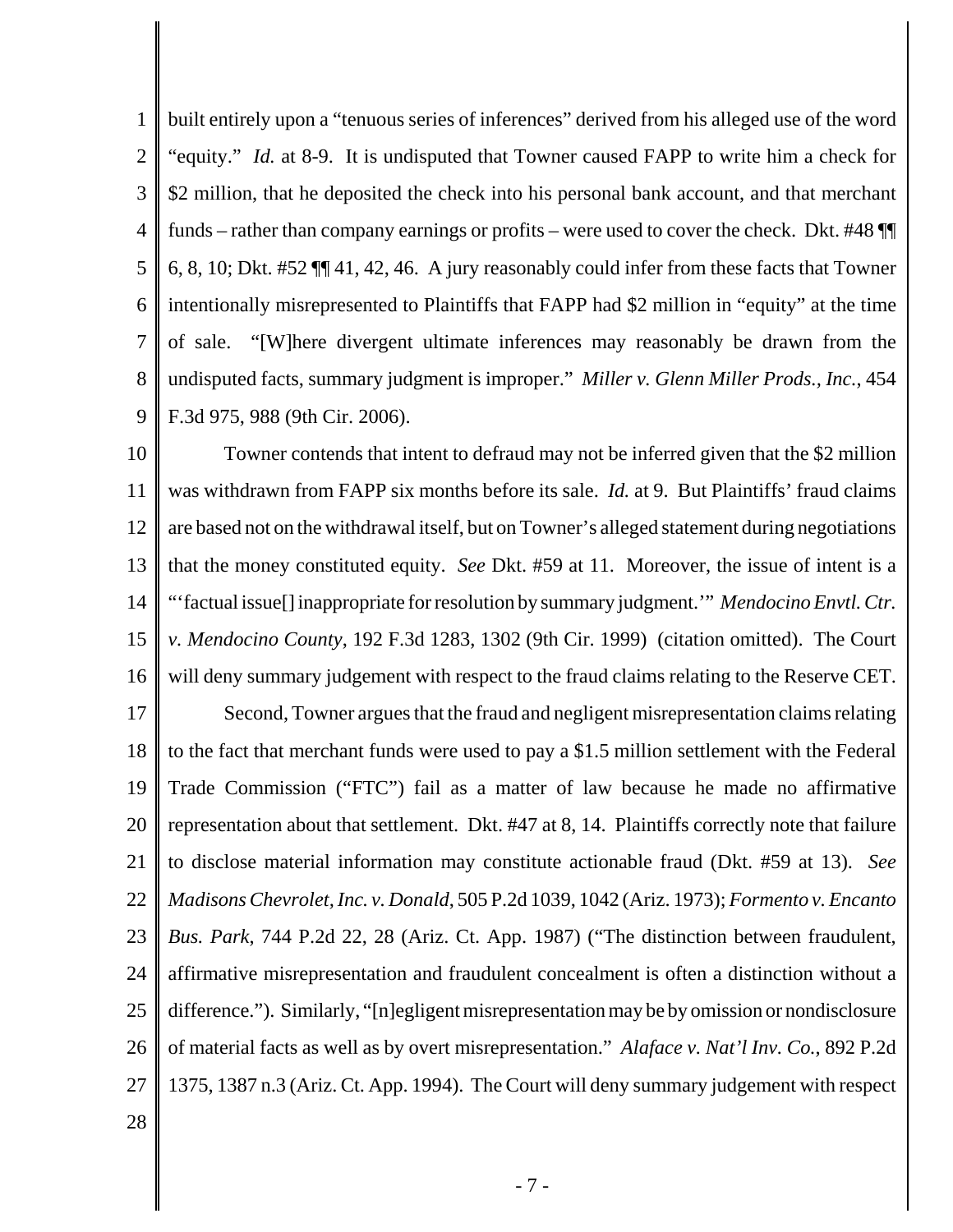1 2 3 4 5 6 7 8 9 built entirely upon a "tenuous series of inferences" derived from his alleged use of the word "equity." *Id.* at 8-9. It is undisputed that Towner caused FAPP to write him a check for \$2 million, that he deposited the check into his personal bank account, and that merchant funds – rather than company earnings or profits – were used to cover the check. Dkt. #48 ¶¶ 6, 8, 10; Dkt. #52 ¶¶ 41, 42, 46. A jury reasonably could infer from these facts that Towner intentionally misrepresented to Plaintiffs that FAPP had \$2 million in "equity" at the time of sale. "[W]here divergent ultimate inferences may reasonably be drawn from the undisputed facts, summary judgment is improper." *Miller v. Glenn Miller Prods., Inc.*, 454 F.3d 975, 988 (9th Cir. 2006).

10 11 12 13 14 15 16 Towner contends that intent to defraud may not be inferred given that the \$2 million was withdrawn from FAPP six months before its sale. *Id.* at 9. But Plaintiffs' fraud claims are based not on the withdrawal itself, but on Towner's alleged statement during negotiations that the money constituted equity. *See* Dkt. #59 at 11. Moreover, the issue of intent is a "'factual issue[] inappropriate for resolution by summary judgment.'" *Mendocino Envtl. Ctr. v. Mendocino County*, 192 F.3d 1283, 1302 (9th Cir. 1999) (citation omitted). The Court will deny summary judgement with respect to the fraud claims relating to the Reserve CET.

17 18 19 20 21 22 23 24 25 26 27 Second, Towner argues that the fraud and negligent misrepresentation claims relating to the fact that merchant funds were used to pay a \$1.5 million settlement with the Federal Trade Commission ("FTC") fail as a matter of law because he made no affirmative representation about that settlement. Dkt. #47 at 8, 14. Plaintiffs correctly note that failure to disclose material information may constitute actionable fraud (Dkt. #59 at 13). *See Madisons Chevrolet, Inc. v. Donald*, 505 P.2d 1039, 1042 (Ariz. 1973); *Formento v. Encanto Bus. Park*, 744 P.2d 22, 28 (Ariz. Ct. App. 1987) ("The distinction between fraudulent, affirmative misrepresentation and fraudulent concealment is often a distinction without a difference."). Similarly, "[n]egligent misrepresentation may be by omission or nondisclosure of material facts as well as by overt misrepresentation." *Alaface v. Nat'l Inv. Co.*, 892 P.2d 1375, 1387 n.3 (Ariz. Ct. App. 1994). The Court will deny summary judgement with respect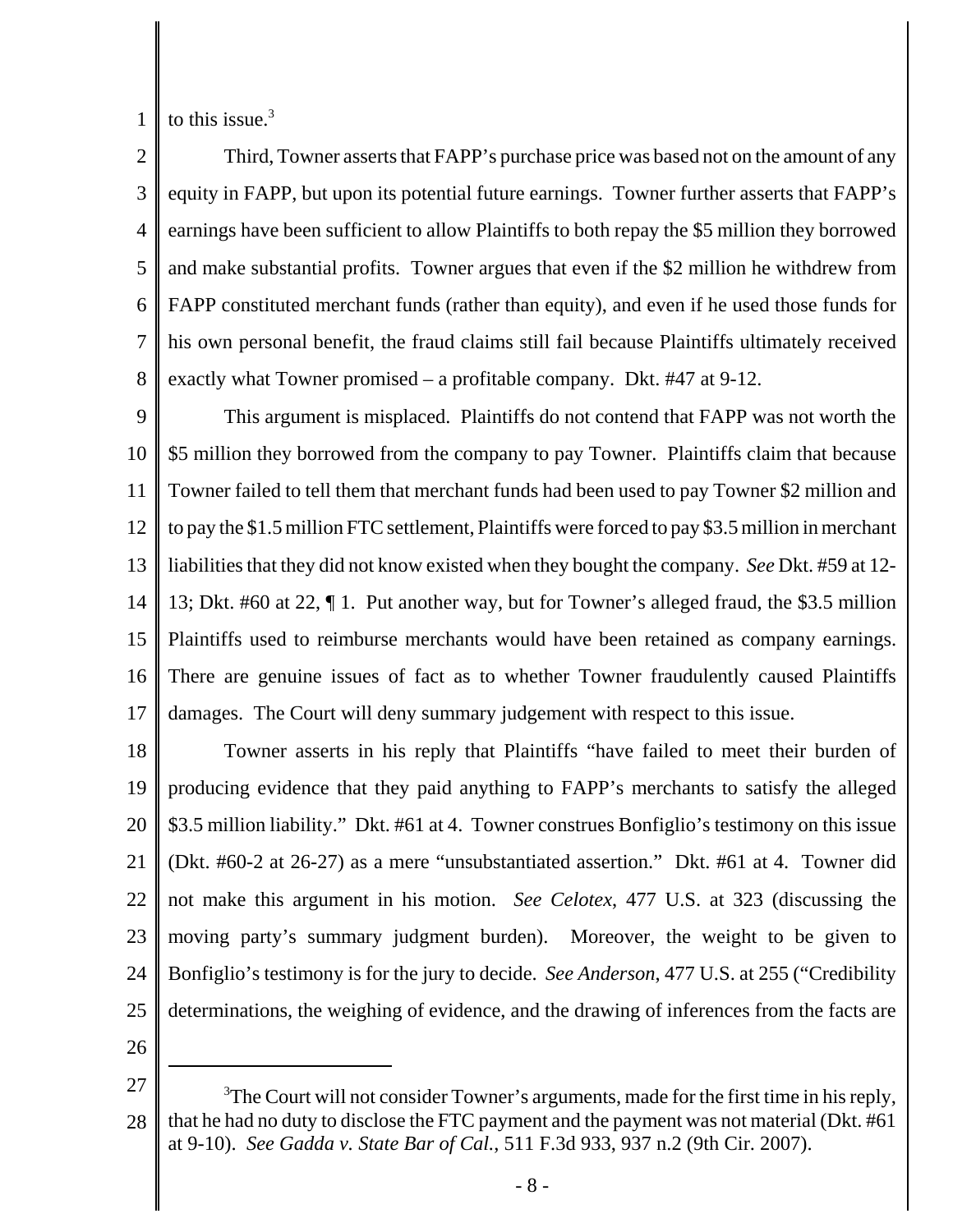1 to this issue. $3$ 

2 3 4 5 6 7 8 Third, Towner asserts that FAPP's purchase price was based not on the amount of any equity in FAPP, but upon its potential future earnings. Towner further asserts that FAPP's earnings have been sufficient to allow Plaintiffs to both repay the \$5 million they borrowed and make substantial profits. Towner argues that even if the \$2 million he withdrew from FAPP constituted merchant funds (rather than equity), and even if he used those funds for his own personal benefit, the fraud claims still fail because Plaintiffs ultimately received exactly what Towner promised – a profitable company. Dkt. #47 at 9-12.

9 10 11 12 13 14 15 16 17 This argument is misplaced. Plaintiffs do not contend that FAPP was not worth the \$5 million they borrowed from the company to pay Towner. Plaintiffs claim that because Towner failed to tell them that merchant funds had been used to pay Towner \$2 million and to pay the \$1.5 million FTC settlement, Plaintiffs were forced to pay \$3.5 million in merchant liabilities that they did not know existed when they bought the company. *See* Dkt. #59 at 12- 13; Dkt. #60 at 22, ¶ 1. Put another way, but for Towner's alleged fraud, the \$3.5 million Plaintiffs used to reimburse merchants would have been retained as company earnings. There are genuine issues of fact as to whether Towner fraudulently caused Plaintiffs damages. The Court will deny summary judgement with respect to this issue.

18 19 20 21 22 23 24 25 Towner asserts in his reply that Plaintiffs "have failed to meet their burden of producing evidence that they paid anything to FAPP's merchants to satisfy the alleged \$3.5 million liability." Dkt. #61 at 4. Towner construes Bonfiglio's testimony on this issue (Dkt. #60-2 at 26-27) as a mere "unsubstantiated assertion." Dkt. #61 at 4. Towner did not make this argument in his motion. *See Celotex*, 477 U.S. at 323 (discussing the moving party's summary judgment burden). Moreover, the weight to be given to Bonfiglio's testimony is for the jury to decide. *See Anderson*, 477 U.S. at 255 ("Credibility determinations, the weighing of evidence, and the drawing of inferences from the facts are

<sup>27</sup> 28  $3$ The Court will not consider Towner's arguments, made for the first time in his reply, that he had no duty to disclose the FTC payment and the payment was not material (Dkt. #61 at 9-10). *See Gadda v. State Bar of Cal.*, 511 F.3d 933, 937 n.2 (9th Cir. 2007).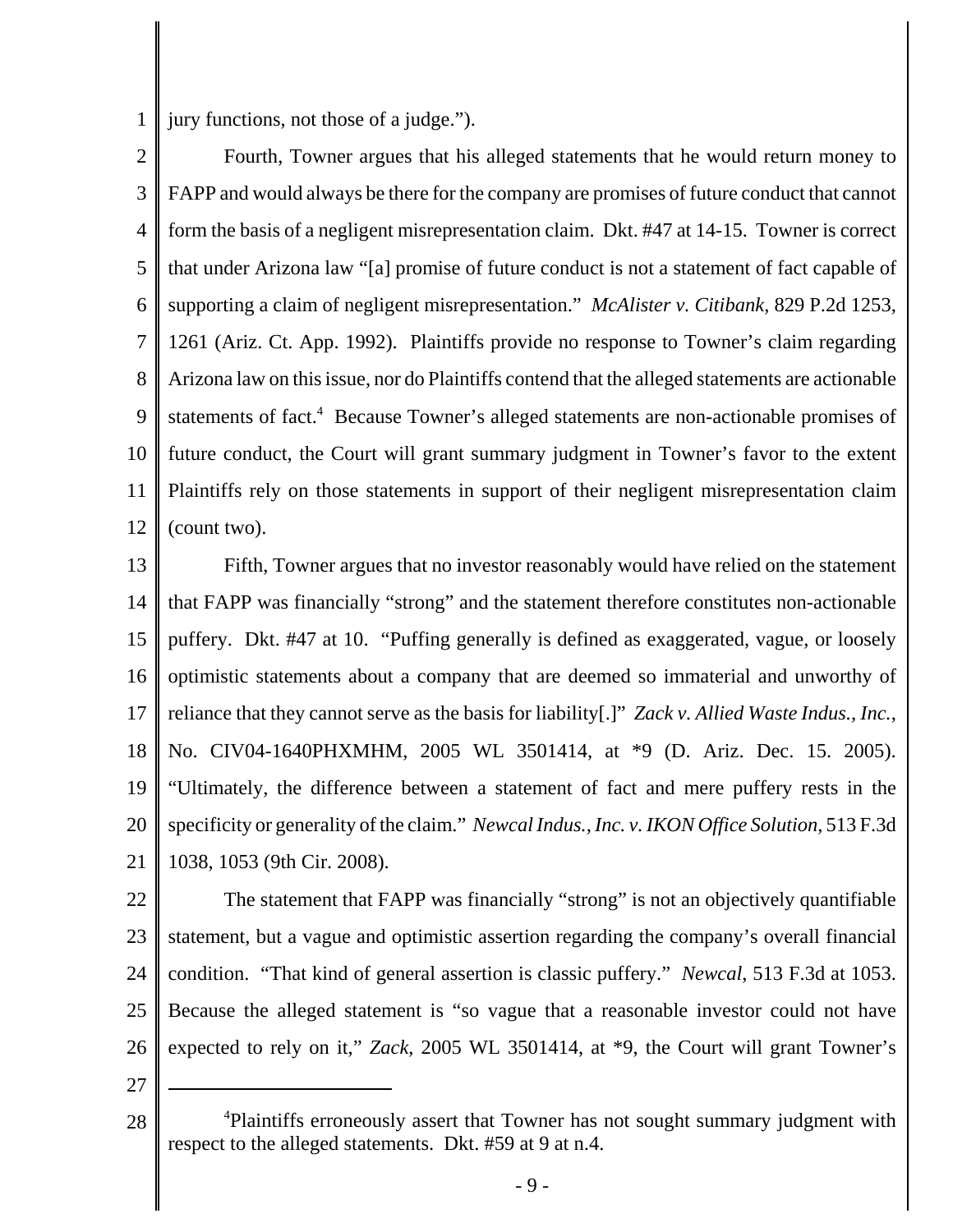1 jury functions, not those of a judge.").

2 3 4 5 6 7 8 9 10 11 12 Fourth, Towner argues that his alleged statements that he would return money to FAPP and would always be there for the company are promises of future conduct that cannot form the basis of a negligent misrepresentation claim. Dkt. #47 at 14-15. Towner is correct that under Arizona law "[a] promise of future conduct is not a statement of fact capable of supporting a claim of negligent misrepresentation." *McAlister v. Citibank*, 829 P.2d 1253, 1261 (Ariz. Ct. App. 1992). Plaintiffs provide no response to Towner's claim regarding Arizona law on this issue, nor do Plaintiffs contend that the alleged statements are actionable statements of fact.<sup>4</sup> Because Towner's alleged statements are non-actionable promises of future conduct, the Court will grant summary judgment in Towner's favor to the extent Plaintiffs rely on those statements in support of their negligent misrepresentation claim (count two).

13 14 15 16 17 18 19 20 21 Fifth, Towner argues that no investor reasonably would have relied on the statement that FAPP was financially "strong" and the statement therefore constitutes non-actionable puffery. Dkt. #47 at 10. "Puffing generally is defined as exaggerated, vague, or loosely optimistic statements about a company that are deemed so immaterial and unworthy of reliance that they cannot serve as the basis for liability[.]" *Zack v. Allied Waste Indus., Inc.*, No. CIV04-1640PHXMHM, 2005 WL 3501414, at \*9 (D. Ariz. Dec. 15. 2005). "Ultimately, the difference between a statement of fact and mere puffery rests in the specificity or generality of the claim." *Newcal Indus., Inc. v. IKON Office Solution*, 513 F.3d 1038, 1053 (9th Cir. 2008).

22 23 24 25 26 The statement that FAPP was financially "strong" is not an objectively quantifiable statement, but a vague and optimistic assertion regarding the company's overall financial condition. "That kind of general assertion is classic puffery." *Newcal*, 513 F.3d at 1053. Because the alleged statement is "so vague that a reasonable investor could not have expected to rely on it," *Zack*, 2005 WL 3501414, at \*9, the Court will grant Towner's

<sup>28</sup> <sup>4</sup>Plaintiffs erroneously assert that Towner has not sought summary judgment with respect to the alleged statements. Dkt. #59 at 9 at n.4.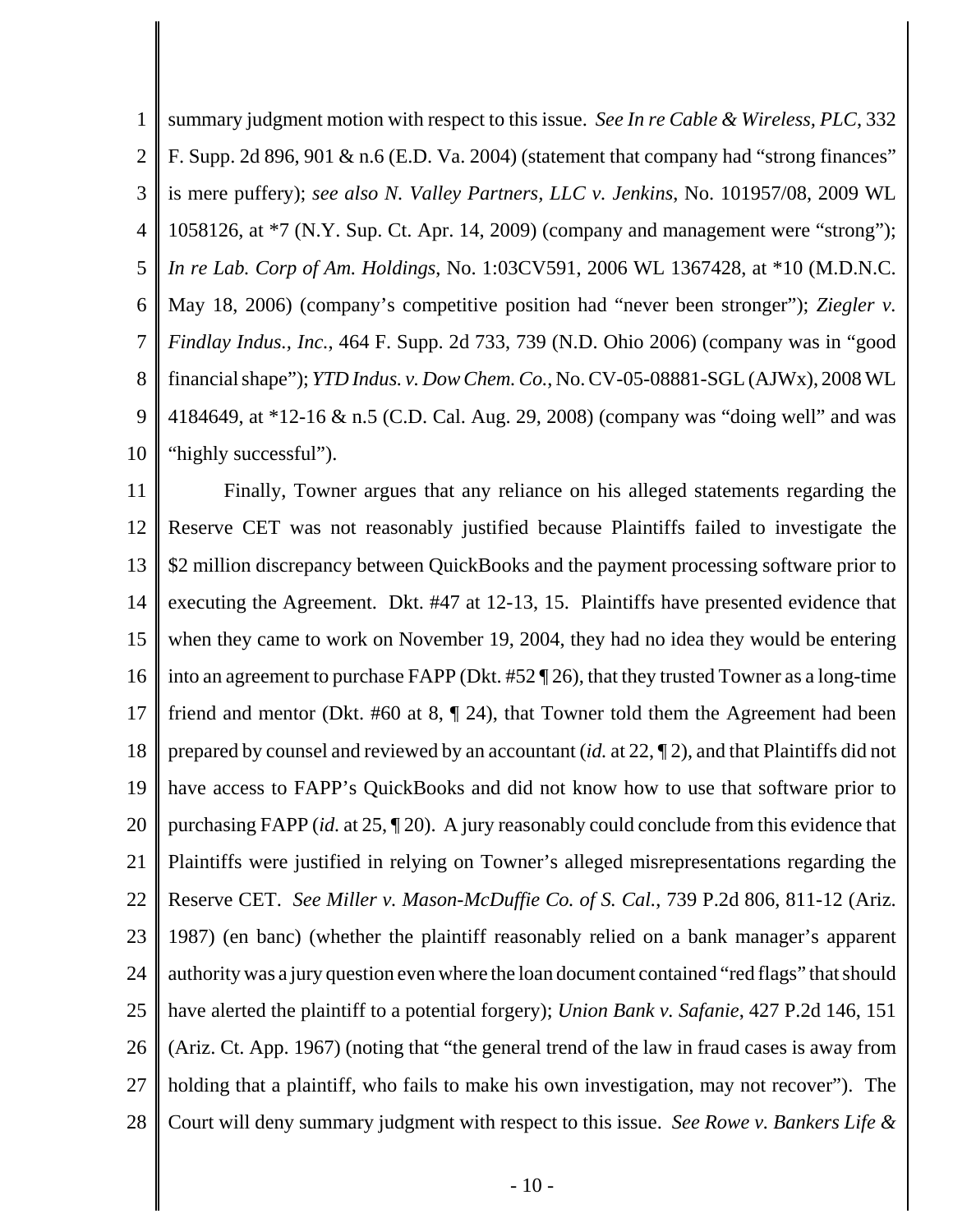1 2 3 4 5 6 7 8 9 10 summary judgment motion with respect to this issue. *See In re Cable & Wireless, PLC*, 332 F. Supp. 2d 896, 901 & n.6 (E.D. Va. 2004) (statement that company had "strong finances" is mere puffery); *see also N. Valley Partners, LLC v. Jenkins*, No. 101957/08, 2009 WL 1058126, at \*7 (N.Y. Sup. Ct. Apr. 14, 2009) (company and management were "strong"); *In re Lab. Corp of Am. Holdings*, No. 1:03CV591, 2006 WL 1367428, at \*10 (M.D.N.C. May 18, 2006) (company's competitive position had "never been stronger"); *Ziegler v. Findlay Indus., Inc.*, 464 F. Supp. 2d 733, 739 (N.D. Ohio 2006) (company was in "good financial shape"); *YTD Indus. v. Dow Chem. Co.*, No. CV-05-08881-SGL (AJWx), 2008 WL 4184649, at \*12-16 & n.5 (C.D. Cal. Aug. 29, 2008) (company was "doing well" and was "highly successful").

11 12 13 14 15 16 17 18 19 20 21 22 23 24 25 26 27 28 Finally, Towner argues that any reliance on his alleged statements regarding the Reserve CET was not reasonably justified because Plaintiffs failed to investigate the \$2 million discrepancy between QuickBooks and the payment processing software prior to executing the Agreement. Dkt. #47 at 12-13, 15. Plaintiffs have presented evidence that when they came to work on November 19, 2004, they had no idea they would be entering into an agreement to purchase FAPP (Dkt. #52 ¶ 26), that they trusted Towner as a long-time friend and mentor (Dkt. #60 at 8, ¶ 24), that Towner told them the Agreement had been prepared by counsel and reviewed by an accountant (*id.* at 22, ¶ 2), and that Plaintiffs did not have access to FAPP's QuickBooks and did not know how to use that software prior to purchasing FAPP (*id.* at 25, ¶ 20). A jury reasonably could conclude from this evidence that Plaintiffs were justified in relying on Towner's alleged misrepresentations regarding the Reserve CET. *See Miller v. Mason-McDuffie Co. of S. Cal.*, 739 P.2d 806, 811-12 (Ariz. 1987) (en banc) (whether the plaintiff reasonably relied on a bank manager's apparent authority was a jury question even where the loan document contained "red flags" that should have alerted the plaintiff to a potential forgery); *Union Bank v. Safanie*, 427 P.2d 146, 151 (Ariz. Ct. App. 1967) (noting that "the general trend of the law in fraud cases is away from holding that a plaintiff, who fails to make his own investigation, may not recover"). The Court will deny summary judgment with respect to this issue. *See Rowe v. Bankers Life &*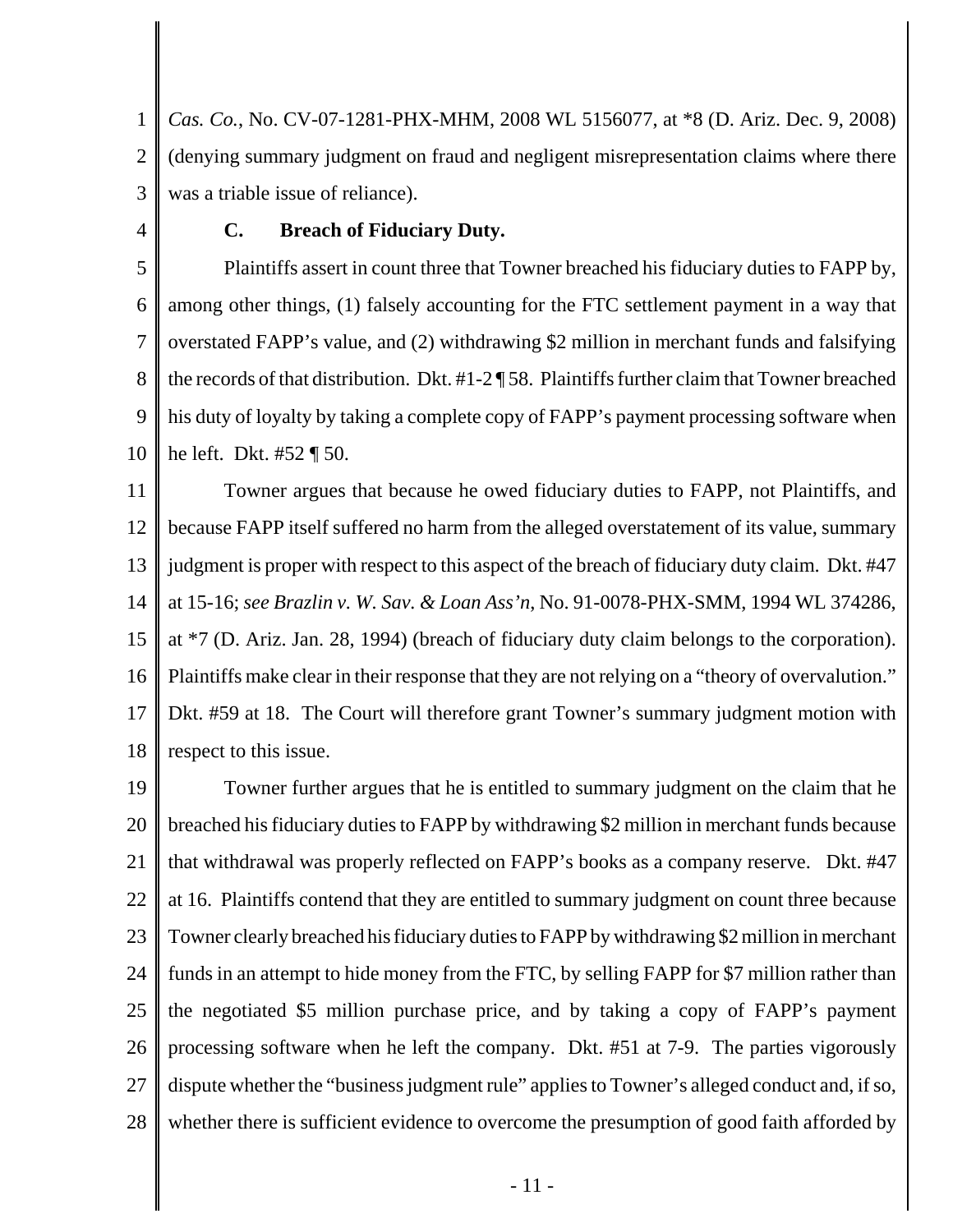1 2 3 *Cas. Co.*, No. CV-07-1281-PHX-MHM, 2008 WL 5156077, at \*8 (D. Ariz. Dec. 9, 2008) (denying summary judgment on fraud and negligent misrepresentation claims where there was a triable issue of reliance).

4

## **C. Breach of Fiduciary Duty.**

5 6 7 8 9 10 Plaintiffs assert in count three that Towner breached his fiduciary duties to FAPP by, among other things, (1) falsely accounting for the FTC settlement payment in a way that overstated FAPP's value, and (2) withdrawing \$2 million in merchant funds and falsifying the records of that distribution. Dkt. #1-2 ¶ 58. Plaintiffs further claim that Towner breached his duty of loyalty by taking a complete copy of FAPP's payment processing software when he left. Dkt. #52 ¶ 50.

11 12 13 14 15 16 17 18 Towner argues that because he owed fiduciary duties to FAPP, not Plaintiffs, and because FAPP itself suffered no harm from the alleged overstatement of its value, summary judgment is proper with respect to this aspect of the breach of fiduciary duty claim. Dkt. #47 at 15-16; *see Brazlin v. W. Sav. & Loan Ass'n*, No. 91-0078-PHX-SMM, 1994 WL 374286, at \*7 (D. Ariz. Jan. 28, 1994) (breach of fiduciary duty claim belongs to the corporation). Plaintiffs make clear in their response that they are not relying on a "theory of overvalution." Dkt. #59 at 18. The Court will therefore grant Towner's summary judgment motion with respect to this issue.

19 20 21 22 23 24 25 26 27 28 Towner further argues that he is entitled to summary judgment on the claim that he breached his fiduciary duties to FAPP by withdrawing \$2 million in merchant funds because that withdrawal was properly reflected on FAPP's books as a company reserve. Dkt. #47 at 16. Plaintiffs contend that they are entitled to summary judgment on count three because Towner clearly breached his fiduciary duties to FAPP by withdrawing \$2 million in merchant funds in an attempt to hide money from the FTC, by selling FAPP for \$7 million rather than the negotiated \$5 million purchase price, and by taking a copy of FAPP's payment processing software when he left the company. Dkt. #51 at 7-9. The parties vigorously dispute whether the "business judgment rule" applies to Towner's alleged conduct and, if so, whether there is sufficient evidence to overcome the presumption of good faith afforded by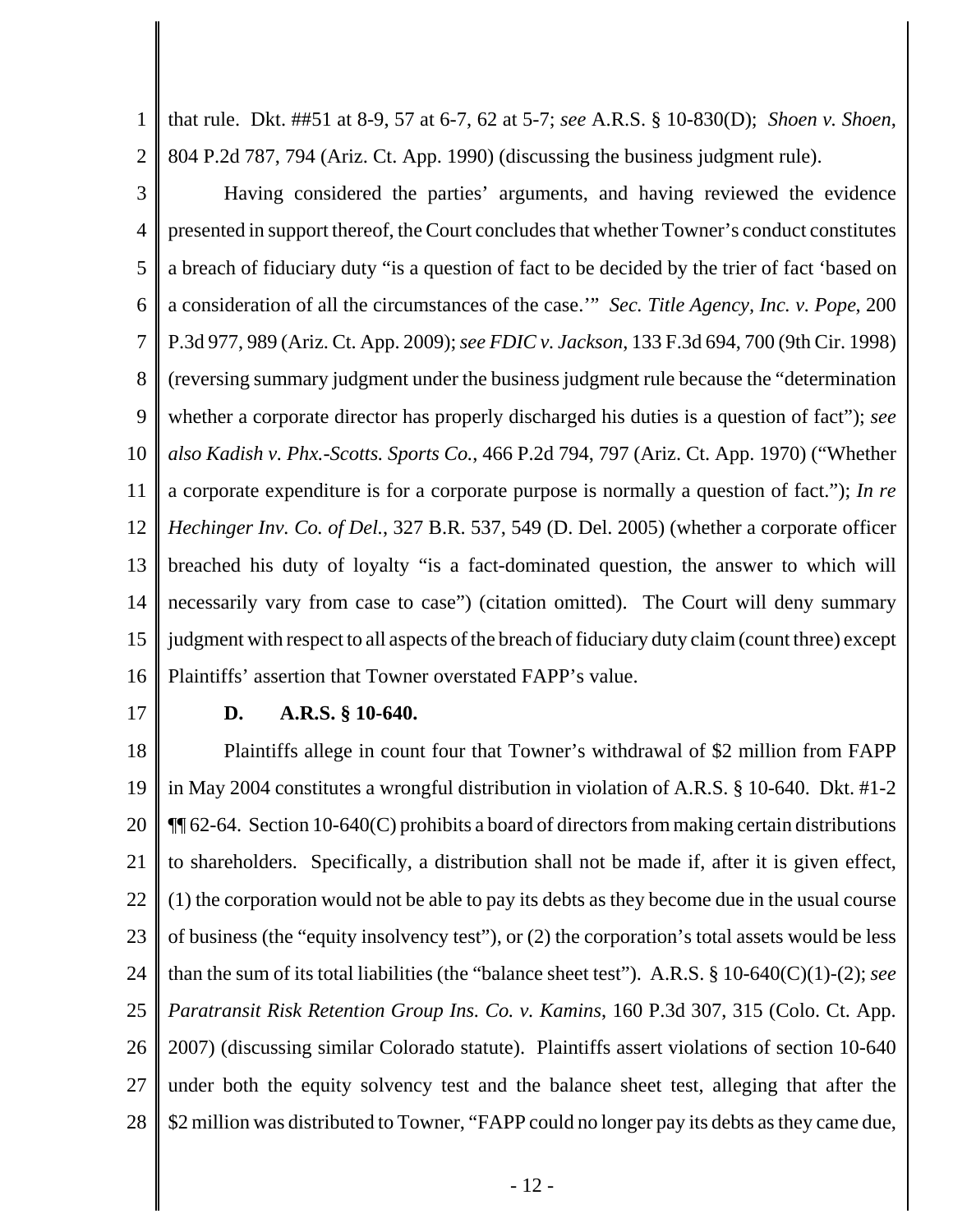1 2 that rule. Dkt. ##51 at 8-9, 57 at 6-7, 62 at 5-7; *see* A.R.S. § 10-830(D); *Shoen v. Shoen*, 804 P.2d 787, 794 (Ariz. Ct. App. 1990) (discussing the business judgment rule).

3 4 5 6 7 8 9 10 11 12 13 14 15 16 Having considered the parties' arguments, and having reviewed the evidence presented in support thereof, the Court concludes that whether Towner's conduct constitutes a breach of fiduciary duty "is a question of fact to be decided by the trier of fact 'based on a consideration of all the circumstances of the case.'" *Sec. Title Agency, Inc. v. Pope*, 200 P.3d 977, 989 (Ariz. Ct. App. 2009); *see FDIC v. Jackson*, 133 F.3d 694, 700 (9th Cir. 1998) (reversing summary judgment under the business judgment rule because the "determination whether a corporate director has properly discharged his duties is a question of fact"); *see also Kadish v. Phx.-Scotts. Sports Co.*, 466 P.2d 794, 797 (Ariz. Ct. App. 1970) ("Whether a corporate expenditure is for a corporate purpose is normally a question of fact."); *In re Hechinger Inv. Co. of Del.*, 327 B.R. 537, 549 (D. Del. 2005) (whether a corporate officer breached his duty of loyalty "is a fact-dominated question, the answer to which will necessarily vary from case to case") (citation omitted). The Court will deny summary judgment with respect to all aspects of the breach of fiduciary duty claim (count three) except Plaintiffs' assertion that Towner overstated FAPP's value.

17

#### **D. A.R.S. § 10-640.**

18 19 20 21 22 23 24 25 26 27 28 Plaintiffs allege in count four that Towner's withdrawal of \$2 million from FAPP in May 2004 constitutes a wrongful distribution in violation of A.R.S. § 10-640. Dkt. #1-2 ¶¶ 62-64. Section 10-640(C) prohibits a board of directors from making certain distributions to shareholders. Specifically, a distribution shall not be made if, after it is given effect, (1) the corporation would not be able to pay its debts as they become due in the usual course of business (the "equity insolvency test"), or (2) the corporation's total assets would be less than the sum of its total liabilities (the "balance sheet test"). A.R.S. § 10-640(C)(1)-(2); *see Paratransit Risk Retention Group Ins. Co. v. Kamins*, 160 P.3d 307, 315 (Colo. Ct. App. 2007) (discussing similar Colorado statute). Plaintiffs assert violations of section 10-640 under both the equity solvency test and the balance sheet test, alleging that after the \$2 million was distributed to Towner, "FAPP could no longer pay its debts as they came due,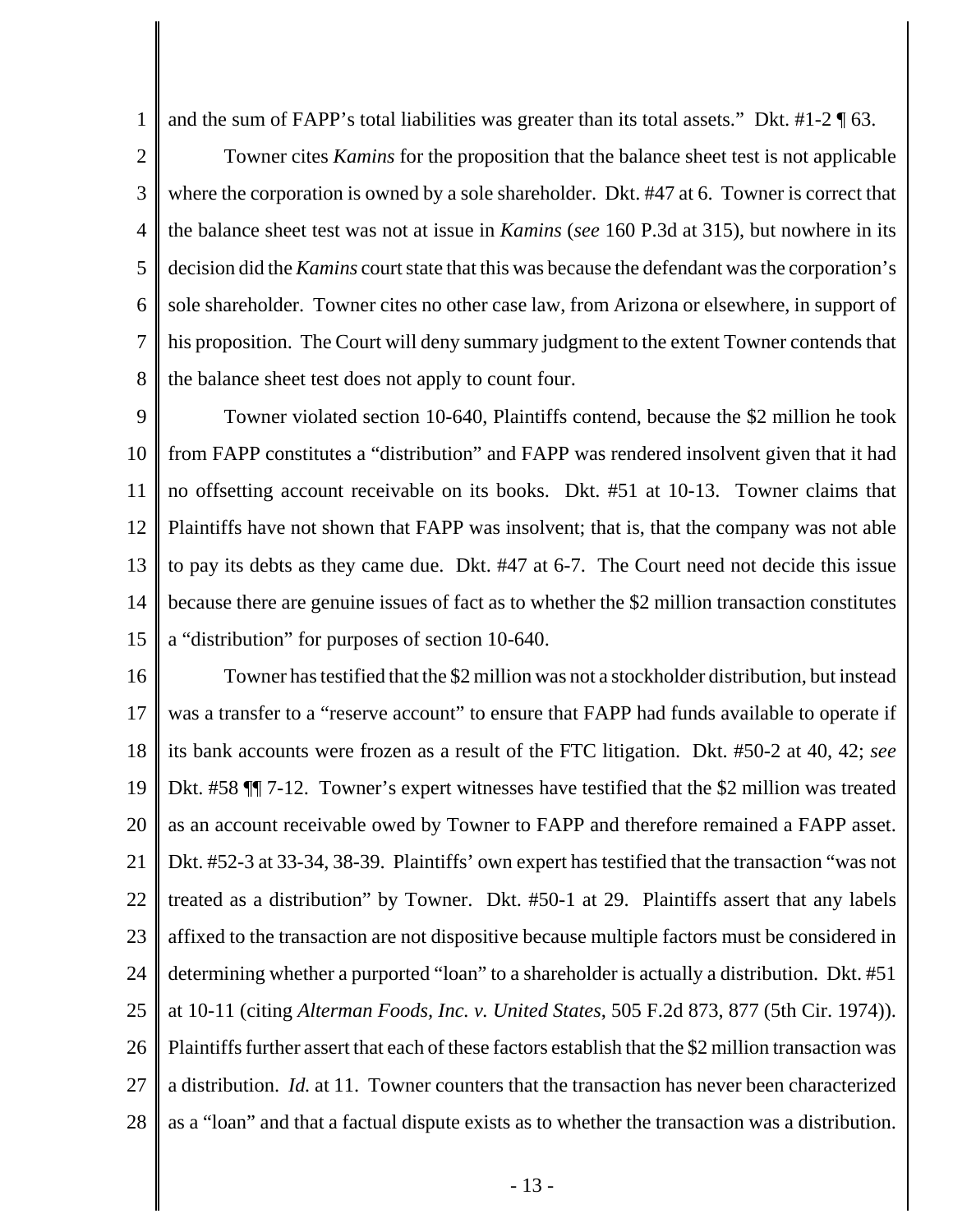1 and the sum of FAPP's total liabilities was greater than its total assets." Dkt. #1-2 ¶ 63.

2 3 4 5 6 7 8 Towner cites *Kamins* for the proposition that the balance sheet test is not applicable where the corporation is owned by a sole shareholder. Dkt. #47 at 6. Towner is correct that the balance sheet test was not at issue in *Kamins* (*see* 160 P.3d at 315), but nowhere in its decision did the *Kamins* court state that this was because the defendant was the corporation's sole shareholder. Towner cites no other case law, from Arizona or elsewhere, in support of his proposition. The Court will deny summary judgment to the extent Towner contends that the balance sheet test does not apply to count four.

9 10 11 12 13 14 15 Towner violated section 10-640, Plaintiffs contend, because the \$2 million he took from FAPP constitutes a "distribution" and FAPP was rendered insolvent given that it had no offsetting account receivable on its books. Dkt. #51 at 10-13. Towner claims that Plaintiffs have not shown that FAPP was insolvent; that is, that the company was not able to pay its debts as they came due. Dkt. #47 at 6-7. The Court need not decide this issue because there are genuine issues of fact as to whether the \$2 million transaction constitutes a "distribution" for purposes of section 10-640.

16 17 18 19 20 21 22 23 24 25 26 27 28 Towner has testified that the \$2 million was not a stockholder distribution, but instead was a transfer to a "reserve account" to ensure that FAPP had funds available to operate if its bank accounts were frozen as a result of the FTC litigation. Dkt. #50-2 at 40, 42; *see* Dkt. #58 ¶¶ 7-12. Towner's expert witnesses have testified that the \$2 million was treated as an account receivable owed by Towner to FAPP and therefore remained a FAPP asset. Dkt. #52-3 at 33-34, 38-39. Plaintiffs' own expert has testified that the transaction "was not treated as a distribution" by Towner. Dkt. #50-1 at 29. Plaintiffs assert that any labels affixed to the transaction are not dispositive because multiple factors must be considered in determining whether a purported "loan" to a shareholder is actually a distribution. Dkt. #51 at 10-11 (citing *Alterman Foods, Inc. v. United States*, 505 F.2d 873, 877 (5th Cir. 1974)). Plaintiffs further assert that each of these factors establish that the \$2 million transaction was a distribution. *Id.* at 11. Towner counters that the transaction has never been characterized as a "loan" and that a factual dispute exists as to whether the transaction was a distribution.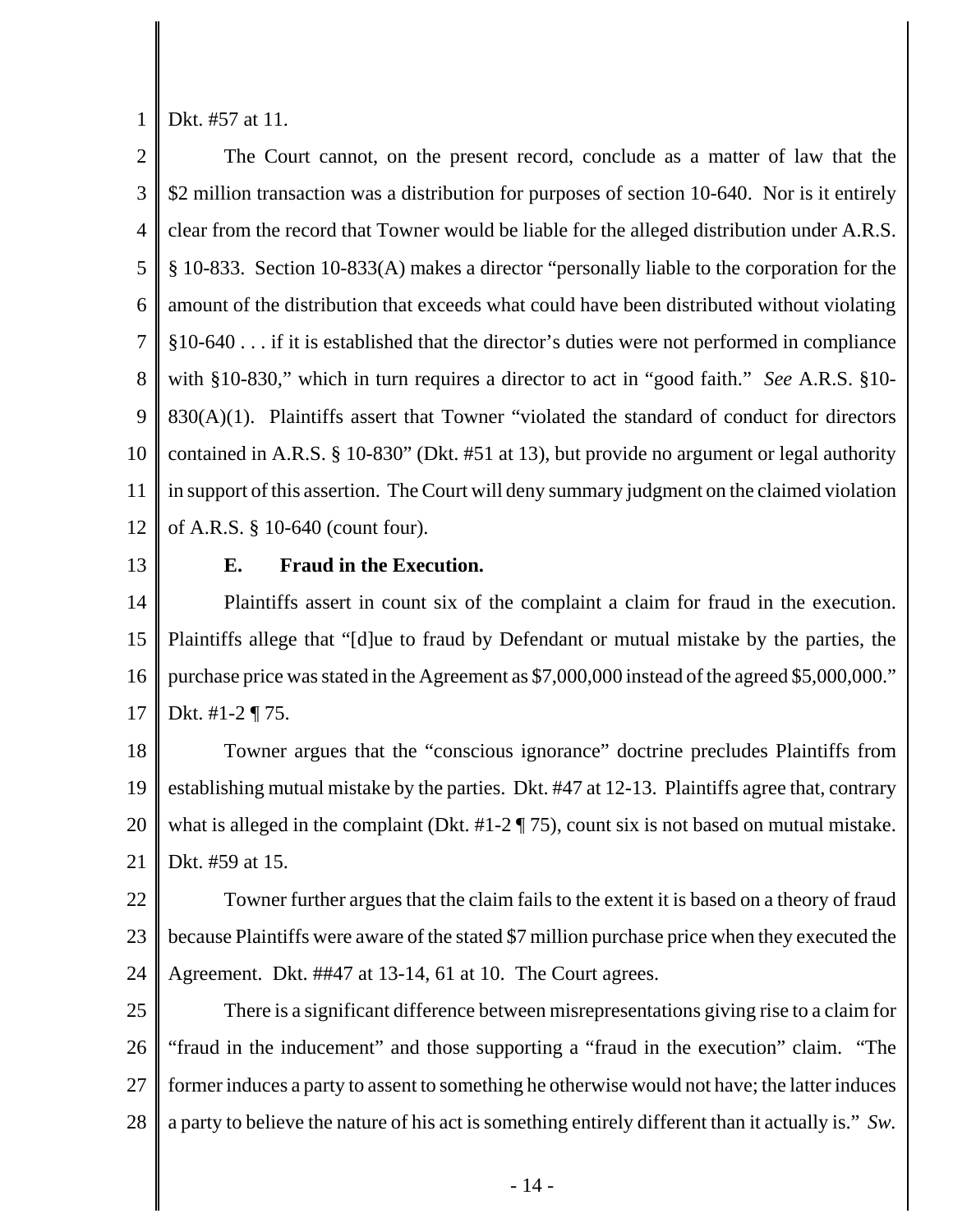1 Dkt. #57 at 11.

2 3 4 5 6 7 8 9 10 11 12 The Court cannot, on the present record, conclude as a matter of law that the \$2 million transaction was a distribution for purposes of section 10-640. Nor is it entirely clear from the record that Towner would be liable for the alleged distribution under A.R.S. § 10-833. Section 10-833(A) makes a director "personally liable to the corporation for the amount of the distribution that exceeds what could have been distributed without violating §10-640 . . . if it is established that the director's duties were not performed in compliance with §10-830," which in turn requires a director to act in "good faith." *See* A.R.S. §10-  $830(A)(1)$ . Plaintiffs assert that Towner "violated the standard of conduct for directors contained in A.R.S. § 10-830" (Dkt. #51 at 13), but provide no argument or legal authority in support of this assertion. The Court will deny summary judgment on the claimed violation of A.R.S. § 10-640 (count four).

13

## **E. Fraud in the Execution.**

14 15 16 17 Plaintiffs assert in count six of the complaint a claim for fraud in the execution. Plaintiffs allege that "[d]ue to fraud by Defendant or mutual mistake by the parties, the purchase price was stated in the Agreement as \$7,000,000 instead of the agreed \$5,000,000." Dkt. #1-2 ¶ 75.

18 19 20 21 Towner argues that the "conscious ignorance" doctrine precludes Plaintiffs from establishing mutual mistake by the parties. Dkt. #47 at 12-13. Plaintiffs agree that, contrary what is alleged in the complaint (Dkt. #1-2 ¶ 75), count six is not based on mutual mistake. Dkt. #59 at 15.

22 23 24 Towner further argues that the claim fails to the extent it is based on a theory of fraud because Plaintiffs were aware of the stated \$7 million purchase price when they executed the Agreement. Dkt. ##47 at 13-14, 61 at 10. The Court agrees.

25 26 27 28 There is a significant difference between misrepresentations giving rise to a claim for "fraud in the inducement" and those supporting a "fraud in the execution" claim. "The former induces a party to assent to something he otherwise would not have; the latter induces a party to believe the nature of his act is something entirely different than it actually is." *Sw.*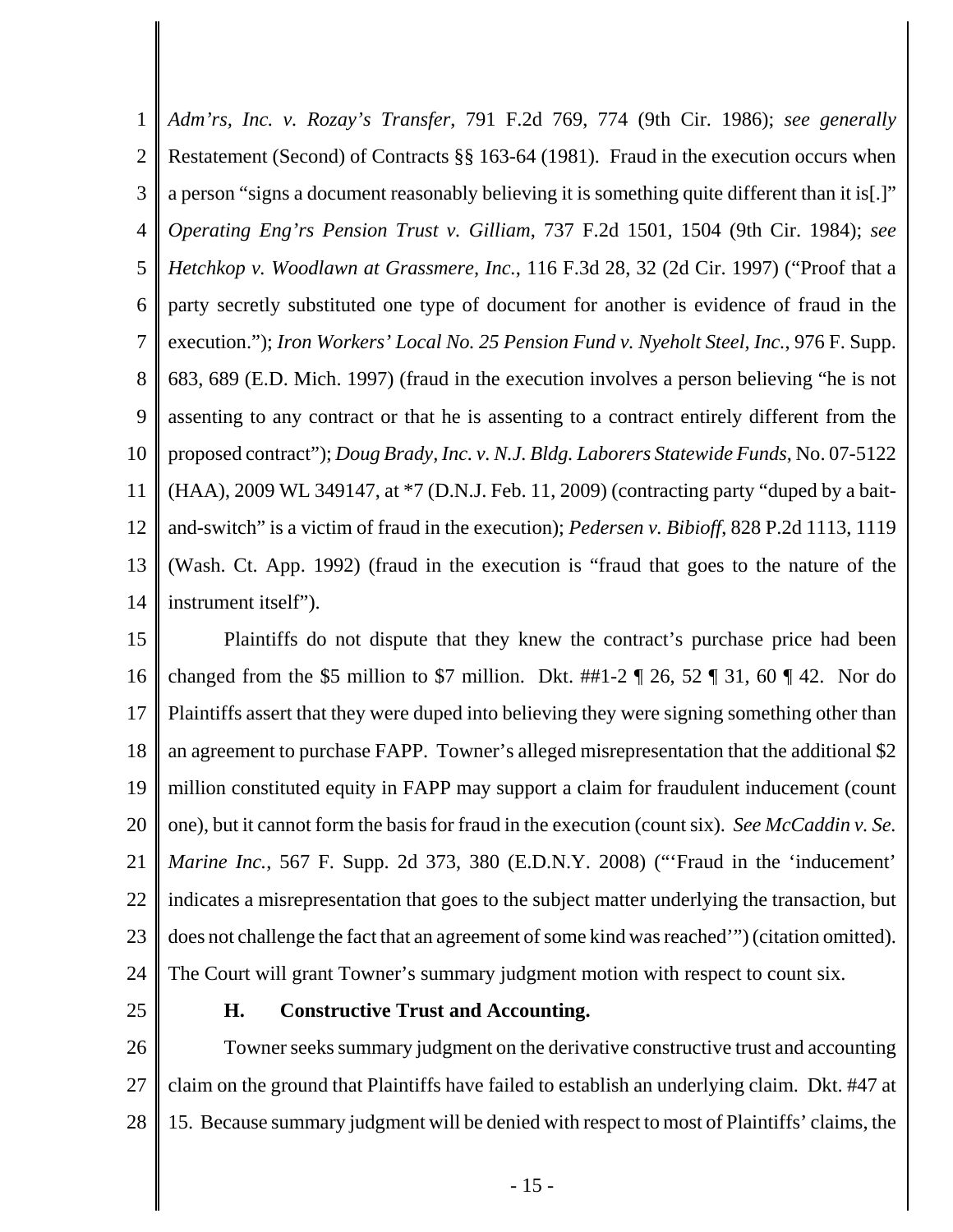1 2 3 4 5 6 7 8 9 10 11 12 13 14 *Adm'rs, Inc. v. Rozay's Transfer*, 791 F.2d 769, 774 (9th Cir. 1986); *see generally* Restatement (Second) of Contracts §§ 163-64 (1981). Fraud in the execution occurs when a person "signs a document reasonably believing it is something quite different than it is[.]" *Operating Eng'rs Pension Trust v. Gilliam*, 737 F.2d 1501, 1504 (9th Cir. 1984); *see Hetchkop v. Woodlawn at Grassmere, Inc.*, 116 F.3d 28, 32 (2d Cir. 1997) ("Proof that a party secretly substituted one type of document for another is evidence of fraud in the execution."); *Iron Workers' Local No. 25 Pension Fund v. Nyeholt Steel, Inc.*, 976 F. Supp. 683, 689 (E.D. Mich. 1997) (fraud in the execution involves a person believing "he is not assenting to any contract or that he is assenting to a contract entirely different from the proposed contract"); *Doug Brady, Inc. v. N.J. Bldg. Laborers Statewide Funds*, No. 07-5122 (HAA), 2009 WL 349147, at \*7 (D.N.J. Feb. 11, 2009) (contracting party "duped by a baitand-switch" is a victim of fraud in the execution); *Pedersen v. Bibioff*, 828 P.2d 1113, 1119 (Wash. Ct. App. 1992) (fraud in the execution is "fraud that goes to the nature of the instrument itself").

15 16 17 18 19 20 21 22 23 24 Plaintiffs do not dispute that they knew the contract's purchase price had been changed from the \$5 million to \$7 million. Dkt.  $\#1-2 \P 26$ , 52  $\P 31$ , 60  $\P 42$ . Nor do Plaintiffs assert that they were duped into believing they were signing something other than an agreement to purchase FAPP. Towner's alleged misrepresentation that the additional \$2 million constituted equity in FAPP may support a claim for fraudulent inducement (count one), but it cannot form the basis for fraud in the execution (count six). *See McCaddin v. Se. Marine Inc.*, 567 F. Supp. 2d 373, 380 (E.D.N.Y. 2008) ("'Fraud in the 'inducement' indicates a misrepresentation that goes to the subject matter underlying the transaction, but does not challenge the fact that an agreement of some kind was reached'") (citation omitted). The Court will grant Towner's summary judgment motion with respect to count six.

25

#### **H. Constructive Trust and Accounting.**

26 27 28 Towner seeks summary judgment on the derivative constructive trust and accounting claim on the ground that Plaintiffs have failed to establish an underlying claim. Dkt. #47 at 15. Because summary judgment will be denied with respect to most of Plaintiffs' claims, the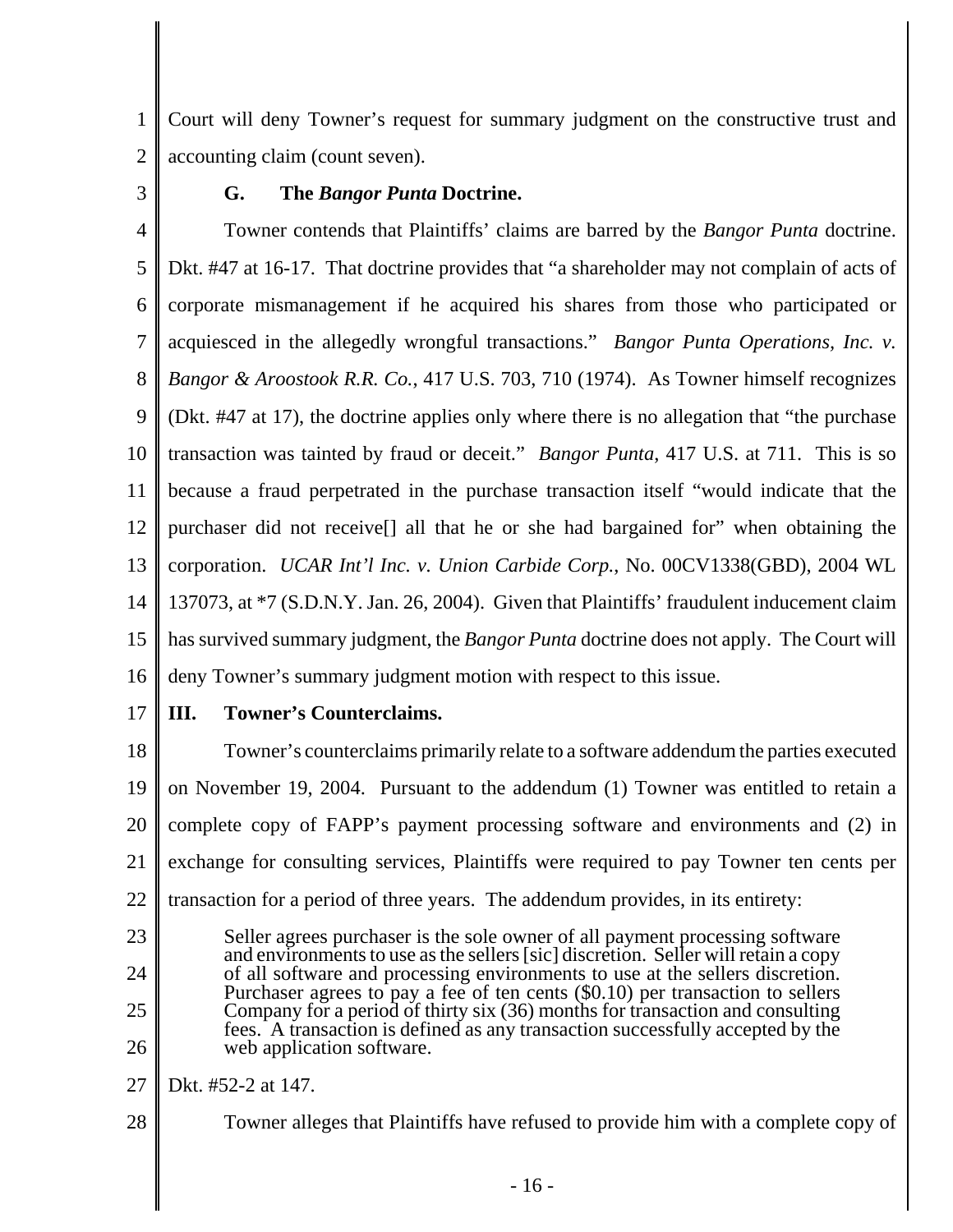1 2 Court will deny Towner's request for summary judgment on the constructive trust and accounting claim (count seven).

3

# **G. The** *Bangor Punta* **Doctrine.**

4 5 6 7 8 9 10 11 12 13 14 15 16 Towner contends that Plaintiffs' claims are barred by the *Bangor Punta* doctrine. Dkt. #47 at 16-17. That doctrine provides that "a shareholder may not complain of acts of corporate mismanagement if he acquired his shares from those who participated or acquiesced in the allegedly wrongful transactions." *Bangor Punta Operations, Inc. v. Bangor & Aroostook R.R. Co.*, 417 U.S. 703, 710 (1974). As Towner himself recognizes (Dkt. #47 at 17), the doctrine applies only where there is no allegation that "the purchase transaction was tainted by fraud or deceit." *Bangor Punta*, 417 U.S. at 711. This is so because a fraud perpetrated in the purchase transaction itself "would indicate that the purchaser did not receive[] all that he or she had bargained for" when obtaining the corporation. *UCAR Int'l Inc. v. Union Carbide Corp.*, No. 00CV1338(GBD), 2004 WL 137073, at \*7 (S.D.N.Y. Jan. 26, 2004). Given that Plaintiffs' fraudulent inducement claim has survived summary judgment, the *Bangor Punta* doctrine does not apply. The Court will deny Towner's summary judgment motion with respect to this issue.

17 **III. Towner's Counterclaims.**

18 19 20 21 22 Towner's counterclaims primarily relate to a software addendum the parties executed on November 19, 2004. Pursuant to the addendum (1) Towner was entitled to retain a complete copy of FAPP's payment processing software and environments and (2) in exchange for consulting services, Plaintiffs were required to pay Towner ten cents per transaction for a period of three years. The addendum provides, in its entirety:

23 24 25 26 Seller agrees purchaser is the sole owner of all payment processing software and environments to use as the sellers [sic] discretion. Seller will retain a copy of all software and processing environments to use at the sellers discretion. Purchaser agrees to pay a fee of ten cents (\$0.10) per transaction to sellers Company for a period of thirty six (36) months for transaction and consulting fees. A transaction is defined as any transaction successfully accepted by the web application software.

27 Dkt. #52-2 at 147.

28 Towner alleges that Plaintiffs have refused to provide him with a complete copy of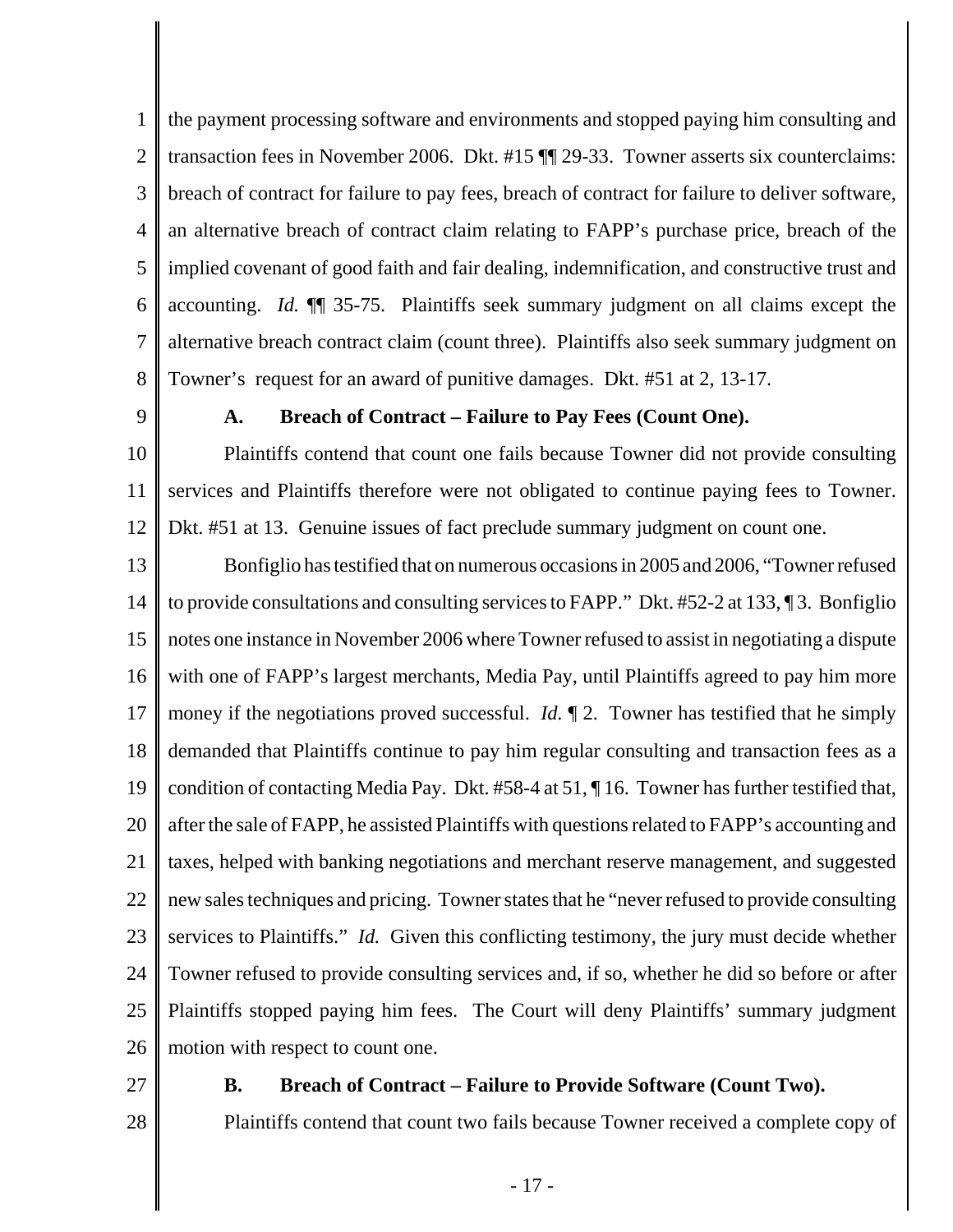1 2 3 4 5 6 7 8 the payment processing software and environments and stopped paying him consulting and transaction fees in November 2006. Dkt. #15 ¶¶ 29-33. Towner asserts six counterclaims: breach of contract for failure to pay fees, breach of contract for failure to deliver software, an alternative breach of contract claim relating to FAPP's purchase price, breach of the implied covenant of good faith and fair dealing, indemnification, and constructive trust and accounting. *Id.* ¶¶ 35-75. Plaintiffs seek summary judgment on all claims except the alternative breach contract claim (count three). Plaintiffs also seek summary judgment on Towner's request for an award of punitive damages. Dkt. #51 at 2, 13-17.

9

## **A. Breach of Contract – Failure to Pay Fees (Count One).**

10 11 12 Plaintiffs contend that count one fails because Towner did not provide consulting services and Plaintiffs therefore were not obligated to continue paying fees to Towner. Dkt. #51 at 13. Genuine issues of fact preclude summary judgment on count one.

13 14 15 16 17 18 19 20 21 22 23 24 25 26 Bonfiglio has testified that on numerous occasions in 2005 and 2006, "Towner refused to provide consultations and consulting services to FAPP." Dkt. #52-2 at 133, ¶ 3. Bonfiglio notes one instance in November 2006 where Towner refused to assist in negotiating a dispute with one of FAPP's largest merchants, Media Pay, until Plaintiffs agreed to pay him more money if the negotiations proved successful. *Id.* ¶ 2. Towner has testified that he simply demanded that Plaintiffs continue to pay him regular consulting and transaction fees as a condition of contacting Media Pay. Dkt. #58-4 at 51, ¶ 16. Towner has further testified that, after the sale of FAPP, he assisted Plaintiffs with questions related to FAPP's accounting and taxes, helped with banking negotiations and merchant reserve management, and suggested new sales techniques and pricing. Towner states that he "never refused to provide consulting services to Plaintiffs." *Id.* Given this conflicting testimony, the jury must decide whether Towner refused to provide consulting services and, if so, whether he did so before or after Plaintiffs stopped paying him fees. The Court will deny Plaintiffs' summary judgment motion with respect to count one.

27

#### **B. Breach of Contract – Failure to Provide Software (Count Two).**

28

Plaintiffs contend that count two fails because Towner received a complete copy of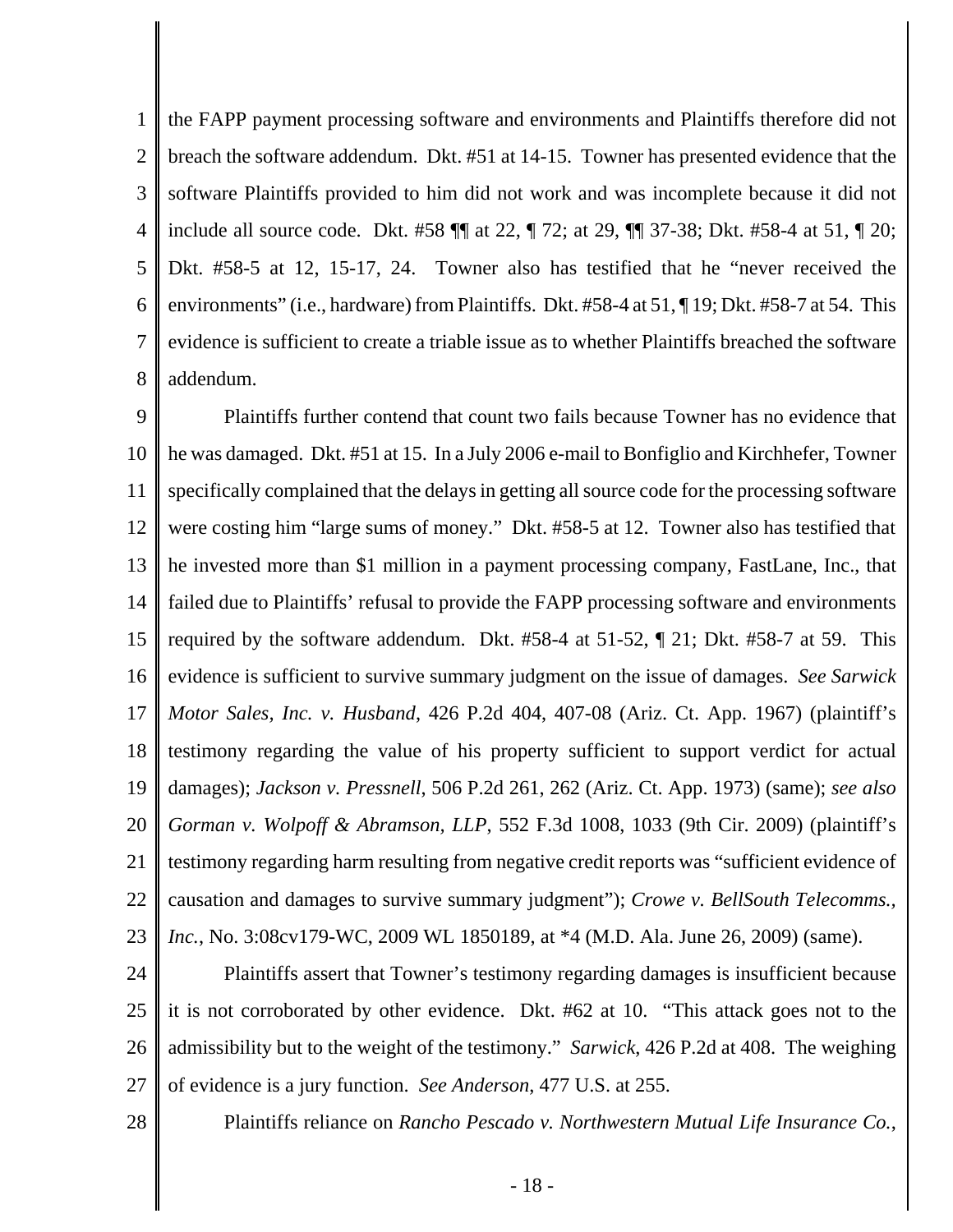1 2 3 4 5 6 7 8 the FAPP payment processing software and environments and Plaintiffs therefore did not breach the software addendum. Dkt. #51 at 14-15. Towner has presented evidence that the software Plaintiffs provided to him did not work and was incomplete because it did not include all source code. Dkt. #58 ¶¶ at 22, ¶ 72; at 29, ¶¶ 37-38; Dkt. #58-4 at 51, ¶ 20; Dkt. #58-5 at 12, 15-17, 24. Towner also has testified that he "never received the environments" (i.e., hardware) from Plaintiffs. Dkt. #58-4 at 51, ¶ 19; Dkt. #58-7 at 54. This evidence is sufficient to create a triable issue as to whether Plaintiffs breached the software addendum.

9 10 11 12 13 14 15 16 17 18 19 20 21 22 23 Plaintiffs further contend that count two fails because Towner has no evidence that he was damaged. Dkt. #51 at 15. In a July 2006 e-mail to Bonfiglio and Kirchhefer, Towner specifically complained that the delays in getting all source code for the processing software were costing him "large sums of money." Dkt. #58-5 at 12. Towner also has testified that he invested more than \$1 million in a payment processing company, FastLane, Inc., that failed due to Plaintiffs' refusal to provide the FAPP processing software and environments required by the software addendum. Dkt. #58-4 at 51-52, ¶ 21; Dkt. #58-7 at 59. This evidence is sufficient to survive summary judgment on the issue of damages. *See Sarwick Motor Sales, Inc. v. Husband*, 426 P.2d 404, 407-08 (Ariz. Ct. App. 1967) (plaintiff's testimony regarding the value of his property sufficient to support verdict for actual damages); *Jackson v. Pressnell*, 506 P.2d 261, 262 (Ariz. Ct. App. 1973) (same); *see also Gorman v. Wolpoff & Abramson, LLP*, 552 F.3d 1008, 1033 (9th Cir. 2009) (plaintiff's testimony regarding harm resulting from negative credit reports was "sufficient evidence of causation and damages to survive summary judgment"); *Crowe v. BellSouth Telecomms., Inc.*, No. 3:08cv179-WC, 2009 WL 1850189, at \*4 (M.D. Ala. June 26, 2009) (same).

24 25 26 27 Plaintiffs assert that Towner's testimony regarding damages is insufficient because it is not corroborated by other evidence. Dkt. #62 at 10. "This attack goes not to the admissibility but to the weight of the testimony." *Sarwick*, 426 P.2d at 408. The weighing of evidence is a jury function. *See Anderson*, 477 U.S. at 255.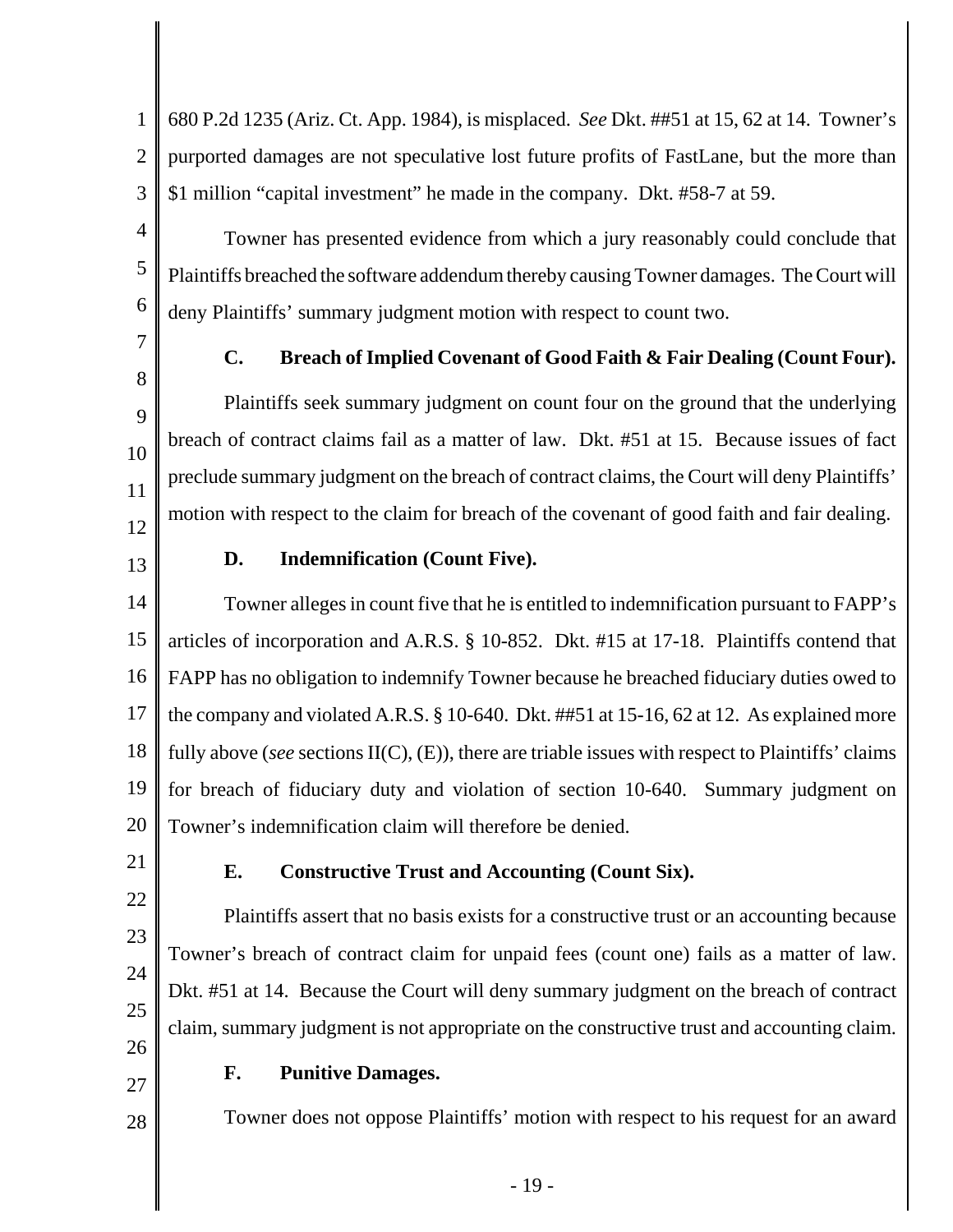1 2 3 680 P.2d 1235 (Ariz. Ct. App. 1984), is misplaced. *See* Dkt. ##51 at 15, 62 at 14. Towner's purported damages are not speculative lost future profits of FastLane, but the more than \$1 million "capital investment" he made in the company. Dkt. #58-7 at 59.

Towner has presented evidence from which a jury reasonably could conclude that Plaintiffs breached the software addendum thereby causing Towner damages. The Court will deny Plaintiffs' summary judgment motion with respect to count two.

7 8

9

10

11

4

5

6

# **C. Breach of Implied Covenant of Good Faith & Fair Dealing (Count Four).**

Plaintiffs seek summary judgment on count four on the ground that the underlying breach of contract claims fail as a matter of law. Dkt. #51 at 15. Because issues of fact preclude summary judgment on the breach of contract claims, the Court will deny Plaintiffs' motion with respect to the claim for breach of the covenant of good faith and fair dealing.

12 13

# **D. Indemnification (Count Five).**

14 15 16 17 18 19 20 Towner alleges in count five that he is entitled to indemnification pursuant to FAPP's articles of incorporation and A.R.S. § 10-852. Dkt. #15 at 17-18. Plaintiffs contend that FAPP has no obligation to indemnify Towner because he breached fiduciary duties owed to the company and violated A.R.S. § 10-640. Dkt. ##51 at 15-16, 62 at 12. As explained more fully above (*see* sections II(C), (E)), there are triable issues with respect to Plaintiffs' claims for breach of fiduciary duty and violation of section 10-640. Summary judgment on Towner's indemnification claim will therefore be denied.

21

22

23

24

25

26

27

28

## **E. Constructive Trust and Accounting (Count Six).**

Plaintiffs assert that no basis exists for a constructive trust or an accounting because Towner's breach of contract claim for unpaid fees (count one) fails as a matter of law. Dkt. #51 at 14. Because the Court will deny summary judgment on the breach of contract claim, summary judgment is not appropriate on the constructive trust and accounting claim.

# **F. Punitive Damages.**

Towner does not oppose Plaintiffs' motion with respect to his request for an award